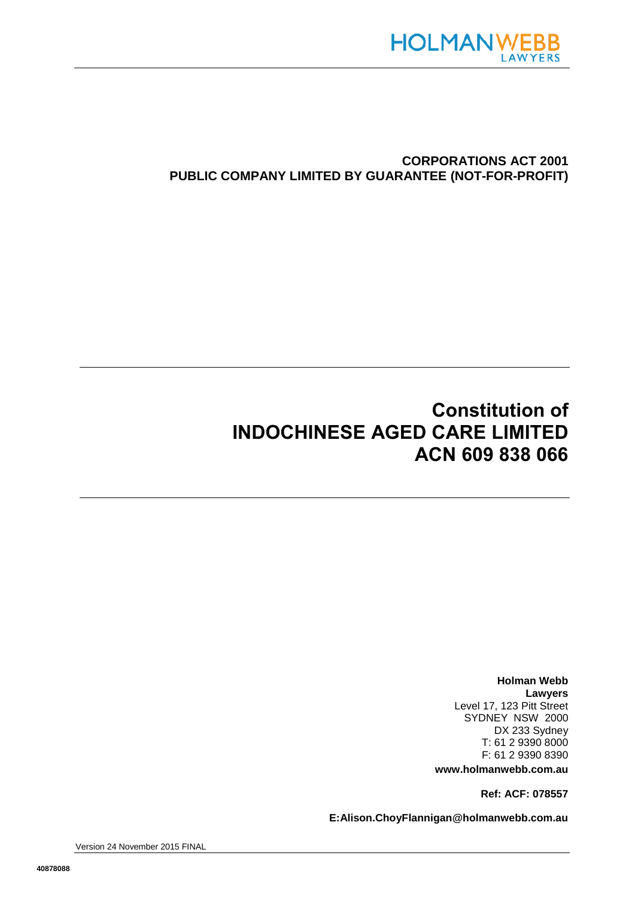

# **CORPORATIONS ACT 2001 PUBLIC COMPANY LIMITED BY GUARANTEE (NOT-FOR-PROFIT)**

# **Constitution of INDOCHINESE AGED CARE LIMITED ACN 609 838 066**

**Holman Webb Lawyers** Level 17, 123 Pitt Street SYDNEY NSW 2000 DX 233 Sydney T: 61 2 9390 8000 F: 61 2 9390 8390 **www.holmanwebb.com.au**

**Ref: ACF: 078557**

**E:Alison.ChoyFlannigan@holmanwebb.com.au**

Version 24 November 2015 FINAL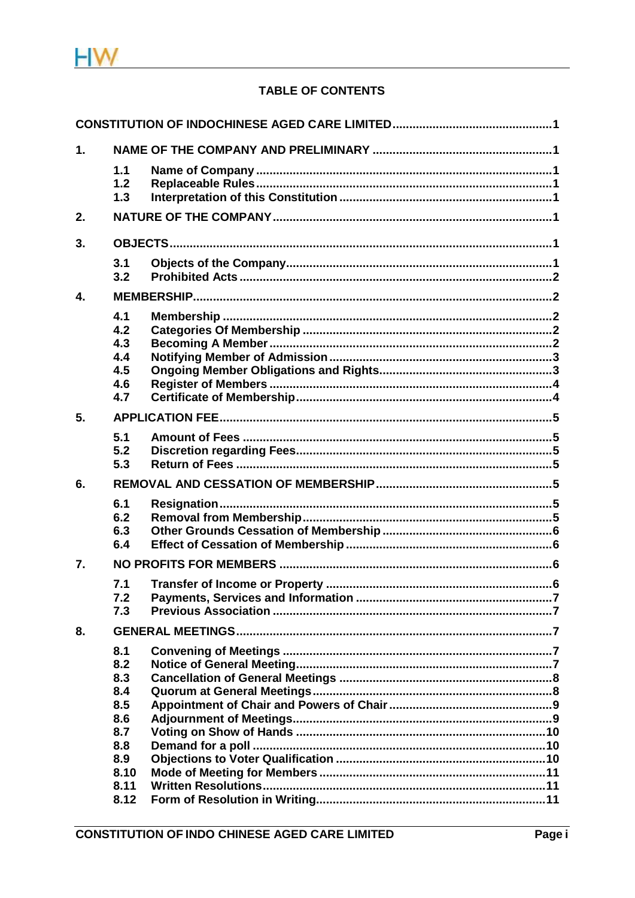

# TABLE OF CONTENTS

| 1. |                                                                                     |  |  |
|----|-------------------------------------------------------------------------------------|--|--|
|    | 1.1<br>1.2<br>1.3                                                                   |  |  |
| 2. |                                                                                     |  |  |
| 3. |                                                                                     |  |  |
|    | 3.1<br>3.2                                                                          |  |  |
| 4. |                                                                                     |  |  |
|    | 4.1<br>4.2<br>4.3<br>4.4<br>4.5<br>4.6<br>4.7                                       |  |  |
| 5. |                                                                                     |  |  |
|    | 5.1<br>5.2<br>5.3                                                                   |  |  |
| 6. |                                                                                     |  |  |
|    | 6.1<br>6.2<br>6.3<br>6.4                                                            |  |  |
| 7. |                                                                                     |  |  |
|    | 7.1<br>7.2<br>7.3                                                                   |  |  |
| 8. |                                                                                     |  |  |
|    | 8.1<br>8.2<br>8.3<br>8.4<br>8.5<br>8.6<br>8.7<br>8.8<br>8.9<br>8.10<br>8.11<br>8.12 |  |  |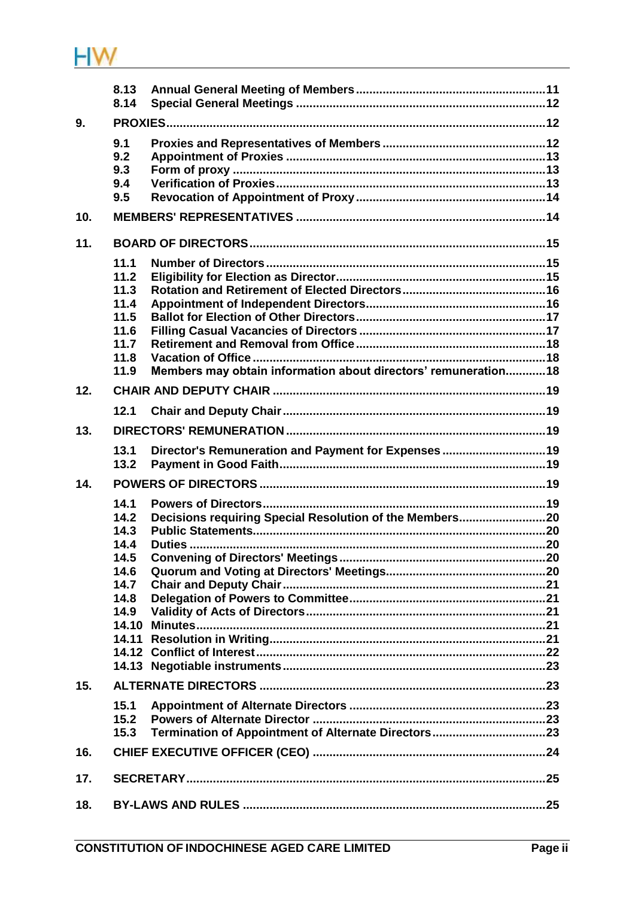

|     | 8.13<br>8.14                                                         |                                                                 |  |
|-----|----------------------------------------------------------------------|-----------------------------------------------------------------|--|
| 9.  |                                                                      |                                                                 |  |
|     | 9.1<br>9.2<br>9.3<br>9.4<br>9.5                                      |                                                                 |  |
| 10. |                                                                      |                                                                 |  |
| 11. |                                                                      |                                                                 |  |
|     | 11.1<br>11.2<br>11.3<br>11.4<br>11.5<br>11.6<br>11.7<br>11.8<br>11.9 | Members may obtain information about directors' remuneration 18 |  |
| 12. |                                                                      |                                                                 |  |
|     | 12.1                                                                 |                                                                 |  |
| 13. |                                                                      |                                                                 |  |
|     | 13.1<br>13.2                                                         | Director's Remuneration and Payment for Expenses 19             |  |
| 14. |                                                                      |                                                                 |  |
|     | 14.1<br>14.2<br>14.3<br>14.4<br>14.5<br>14.6                         |                                                                 |  |
|     | 14.7                                                                 |                                                                 |  |
|     | 14.8<br>14.9                                                         |                                                                 |  |
|     | 14.10<br>14.11                                                       |                                                                 |  |
| 15. |                                                                      |                                                                 |  |
|     | 15.1<br>15.2<br>15.3                                                 |                                                                 |  |
| 16. |                                                                      |                                                                 |  |
| 17. |                                                                      |                                                                 |  |
| 18. |                                                                      |                                                                 |  |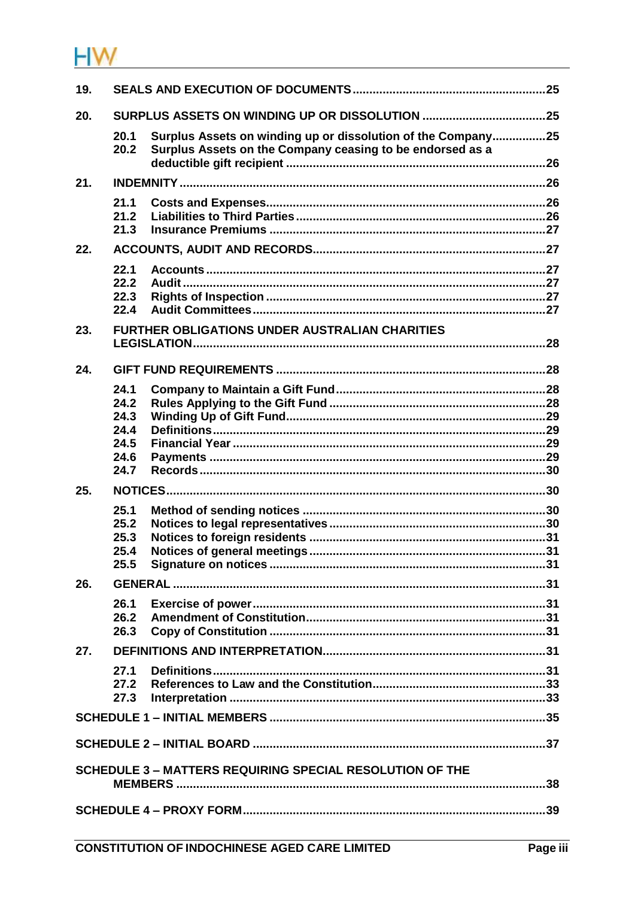# HW.

| 19.                                                             |              |                                                                                                                           |  |
|-----------------------------------------------------------------|--------------|---------------------------------------------------------------------------------------------------------------------------|--|
| 20.                                                             |              |                                                                                                                           |  |
|                                                                 | 20.1<br>20.2 | Surplus Assets on winding up or dissolution of the Company25<br>Surplus Assets on the Company ceasing to be endorsed as a |  |
| 21.                                                             |              |                                                                                                                           |  |
|                                                                 | 21.1         |                                                                                                                           |  |
|                                                                 | 21.2         |                                                                                                                           |  |
| 22.                                                             | 21.3         |                                                                                                                           |  |
|                                                                 |              |                                                                                                                           |  |
|                                                                 | 22.1<br>22.2 |                                                                                                                           |  |
|                                                                 | 22.3         |                                                                                                                           |  |
|                                                                 | 22.4         |                                                                                                                           |  |
| 23.                                                             |              | <b>FURTHER OBLIGATIONS UNDER AUSTRALIAN CHARITIES</b>                                                                     |  |
|                                                                 |              |                                                                                                                           |  |
| 24.                                                             |              |                                                                                                                           |  |
|                                                                 | 24.1         |                                                                                                                           |  |
|                                                                 | 24.2         |                                                                                                                           |  |
|                                                                 | 24.3         |                                                                                                                           |  |
|                                                                 | 24.4         |                                                                                                                           |  |
|                                                                 | 24.5         |                                                                                                                           |  |
|                                                                 | 24.6         |                                                                                                                           |  |
|                                                                 | 24.7         |                                                                                                                           |  |
| 25.                                                             |              |                                                                                                                           |  |
|                                                                 | 25.1         |                                                                                                                           |  |
|                                                                 | 25.2<br>25.3 |                                                                                                                           |  |
|                                                                 | 25.4         |                                                                                                                           |  |
|                                                                 | 25.5         |                                                                                                                           |  |
| 26.                                                             |              |                                                                                                                           |  |
|                                                                 | 26.1         |                                                                                                                           |  |
|                                                                 | 26.2         |                                                                                                                           |  |
|                                                                 | 26.3         |                                                                                                                           |  |
| 27.                                                             |              |                                                                                                                           |  |
|                                                                 | 27.1         |                                                                                                                           |  |
|                                                                 | 27.2         |                                                                                                                           |  |
|                                                                 | 27.3         |                                                                                                                           |  |
|                                                                 |              |                                                                                                                           |  |
|                                                                 |              |                                                                                                                           |  |
|                                                                 |              |                                                                                                                           |  |
| <b>SCHEDULE 3 - MATTERS REQUIRING SPECIAL RESOLUTION OF THE</b> |              |                                                                                                                           |  |
|                                                                 |              |                                                                                                                           |  |
|                                                                 |              |                                                                                                                           |  |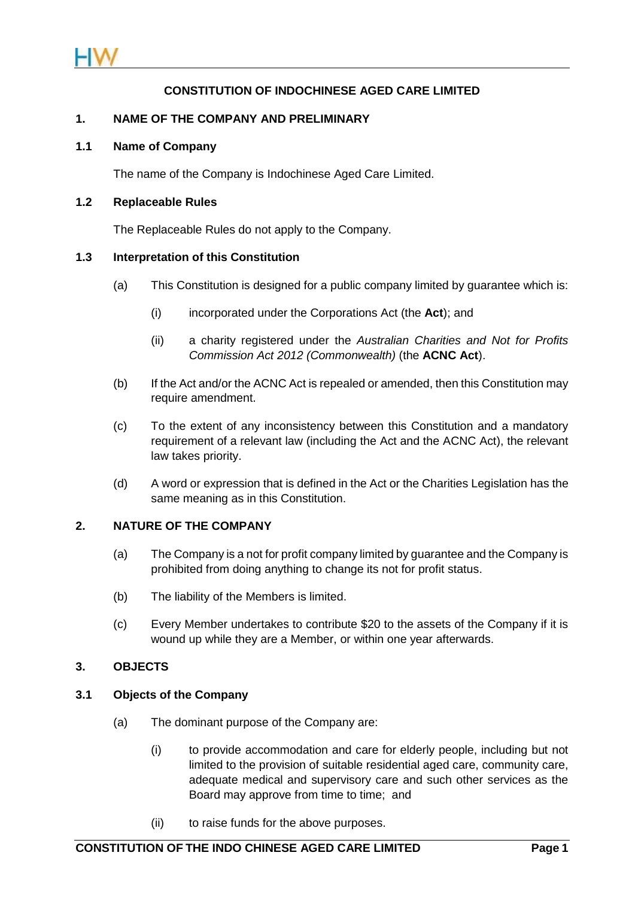

# **CONSTITUTION OF INDOCHINESE AGED CARE LIMITED**

#### **1. NAME OF THE COMPANY AND PRELIMINARY**

#### **1.1 Name of Company**

The name of the Company is Indochinese Aged Care Limited.

#### **1.2 Replaceable Rules**

The Replaceable Rules do not apply to the Company.

#### **1.3 Interpretation of this Constitution**

- (a) This Constitution is designed for a public company limited by guarantee which is:
	- (i) incorporated under the Corporations Act (the **Act**); and
	- (ii) a charity registered under the *Australian Charities and Not for Profits Commission Act 2012 (Commonwealth)* (the **ACNC Act**).
- (b) If the Act and/or the ACNC Act is repealed or amended, then this Constitution may require amendment.
- (c) To the extent of any inconsistency between this Constitution and a mandatory requirement of a relevant law (including the Act and the ACNC Act), the relevant law takes priority.
- (d) A word or expression that is defined in the Act or the Charities Legislation has the same meaning as in this Constitution.

## **2. NATURE OF THE COMPANY**

- (a) The Company is a not for profit company limited by guarantee and the Company is prohibited from doing anything to change its not for profit status.
- (b) The liability of the Members is limited.
- <span id="page-4-1"></span>(c) Every Member undertakes to contribute \$20 to the assets of the Company if it is wound up while they are a Member, or within one year afterwards.

## <span id="page-4-0"></span>**3. OBJECTS**

## **3.1 Objects of the Company**

- (a) The dominant purpose of the Company are:
	- (i) to provide accommodation and care for elderly people, including but not limited to the provision of suitable residential aged care, community care, adequate medical and supervisory care and such other services as the Board may approve from time to time; and
	- (ii) to raise funds for the above purposes.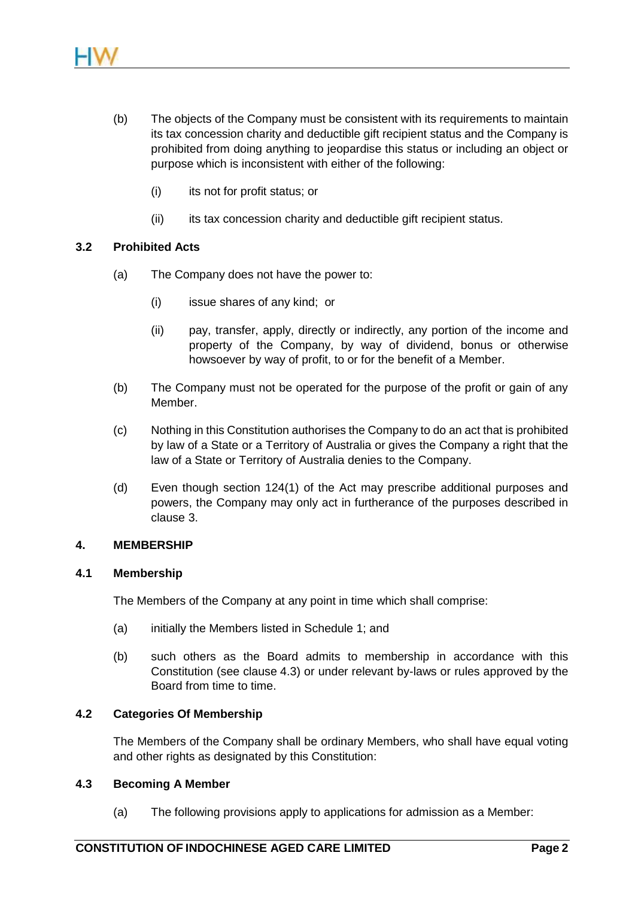- (b) The objects of the Company must be consistent with its requirements to maintain its tax concession charity and deductible gift recipient status and the Company is prohibited from doing anything to jeopardise this status or including an object or purpose which is inconsistent with either of the following:
	- (i) its not for profit status; or
	- (ii) its tax concession charity and deductible gift recipient status.

## **3.2 Prohibited Acts**

- (a) The Company does not have the power to:
	- (i) issue shares of any kind; or
	- (ii) pay, transfer, apply, directly or indirectly, any portion of the income and property of the Company, by way of dividend, bonus or otherwise howsoever by way of profit, to or for the benefit of a Member.
- (b) The Company must not be operated for the purpose of the profit or gain of any Member.
- (c) Nothing in this Constitution authorises the Company to do an act that is prohibited by law of a State or a Territory of Australia or gives the Company a right that the law of a State or Territory of Australia denies to the Company.
- (d) Even though section 124(1) of the Act may prescribe additional purposes and powers, the Company may only act in furtherance of the purposes described in clause [3.](#page-4-0)

## **4. MEMBERSHIP**

## **4.1 Membership**

The Members of the Company at any point in time which shall comprise:

- (a) initially the Members listed in Schedule 1; and
- (b) such others as the Board admits to membership in accordance with this Constitution (see clause [4.3\)](#page-5-0) or under relevant by-laws or rules approved by the Board from time to time.

## **4.2 Categories Of Membership**

The Members of the Company shall be ordinary Members, who shall have equal voting and other rights as designated by this Constitution:

## <span id="page-5-0"></span>**4.3 Becoming A Member**

(a) The following provisions apply to applications for admission as a Member: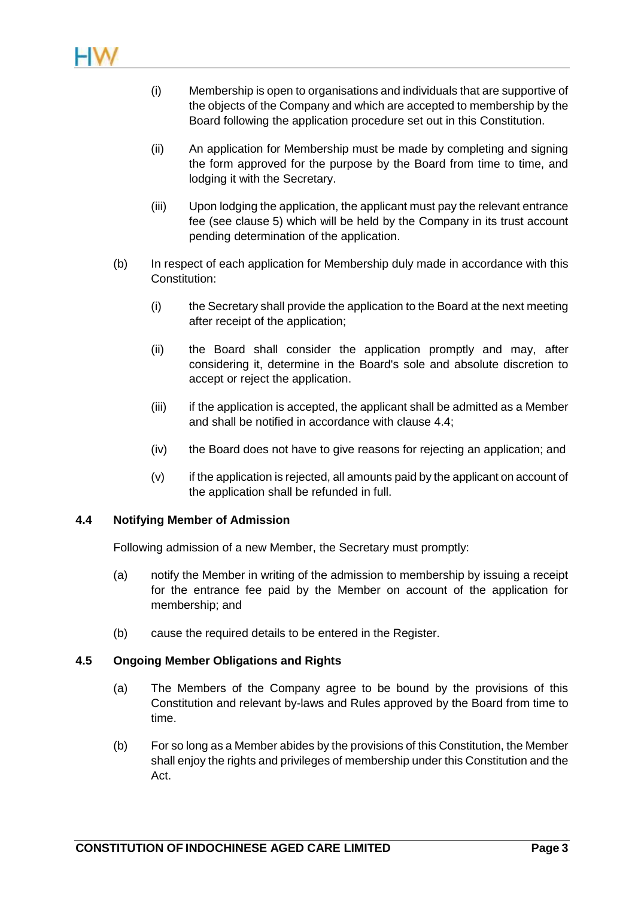- (i) Membership is open to organisations and individuals that are supportive of the objects of the Company and which are accepted to membership by the Board following the application procedure set out in this Constitution.
- (ii) An application for Membership must be made by completing and signing the form approved for the purpose by the Board from time to time, and lodging it with the Secretary.
- (iii) Upon lodging the application, the applicant must pay the relevant entrance fee (see clause [5\)](#page-8-0) which will be held by the Company in its trust account pending determination of the application.
- (b) In respect of each application for Membership duly made in accordance with this Constitution:
	- (i) the Secretary shall provide the application to the Board at the next meeting after receipt of the application;
	- (ii) the Board shall consider the application promptly and may, after considering it, determine in the Board's sole and absolute discretion to accept or reject the application.
	- (iii) if the application is accepted, the applicant shall be admitted as a Member and shall be notified in accordance with clause [4.4;](#page-6-0)
	- (iv) the Board does not have to give reasons for rejecting an application; and
	- (v) if the application is rejected, all amounts paid by the applicant on account of the application shall be refunded in full.

## <span id="page-6-0"></span>**4.4 Notifying Member of Admission**

Following admission of a new Member, the Secretary must promptly:

- (a) notify the Member in writing of the admission to membership by issuing a receipt for the entrance fee paid by the Member on account of the application for membership; and
- (b) cause the required details to be entered in the Register.

## **4.5 Ongoing Member Obligations and Rights**

- (a) The Members of the Company agree to be bound by the provisions of this Constitution and relevant by-laws and Rules approved by the Board from time to time.
- (b) For so long as a Member abides by the provisions of this Constitution, the Member shall enjoy the rights and privileges of membership under this Constitution and the Act.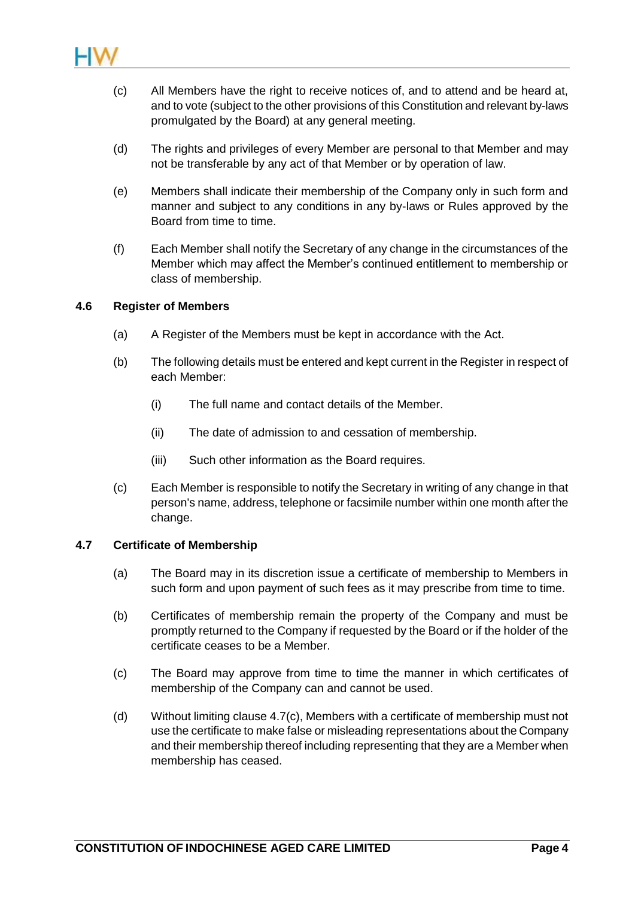

- (c) All Members have the right to receive notices of, and to attend and be heard at, and to vote (subject to the other provisions of this Constitution and relevant by-laws promulgated by the Board) at any general meeting.
- (d) The rights and privileges of every Member are personal to that Member and may not be transferable by any act of that Member or by operation of law.
- (e) Members shall indicate their membership of the Company only in such form and manner and subject to any conditions in any by-laws or Rules approved by the Board from time to time.
- (f) Each Member shall notify the Secretary of any change in the circumstances of the Member which may affect the Member's continued entitlement to membership or class of membership.

#### **4.6 Register of Members**

- (a) A Register of the Members must be kept in accordance with the Act.
- (b) The following details must be entered and kept current in the Register in respect of each Member:
	- (i) The full name and contact details of the Member.
	- (ii) The date of admission to and cessation of membership.
	- (iii) Such other information as the Board requires.
- (c) Each Member is responsible to notify the Secretary in writing of any change in that person's name, address, telephone or facsimile number within one month after the change.

## **4.7 Certificate of Membership**

- (a) The Board may in its discretion issue a certificate of membership to Members in such form and upon payment of such fees as it may prescribe from time to time.
- (b) Certificates of membership remain the property of the Company and must be promptly returned to the Company if requested by the Board or if the holder of the certificate ceases to be a Member.
- <span id="page-7-0"></span>(c) The Board may approve from time to time the manner in which certificates of membership of the Company can and cannot be used.
- (d) Without limiting clause [4.7\(c\),](#page-7-0) Members with a certificate of membership must not use the certificate to make false or misleading representations about the Company and their membership thereof including representing that they are a Member when membership has ceased.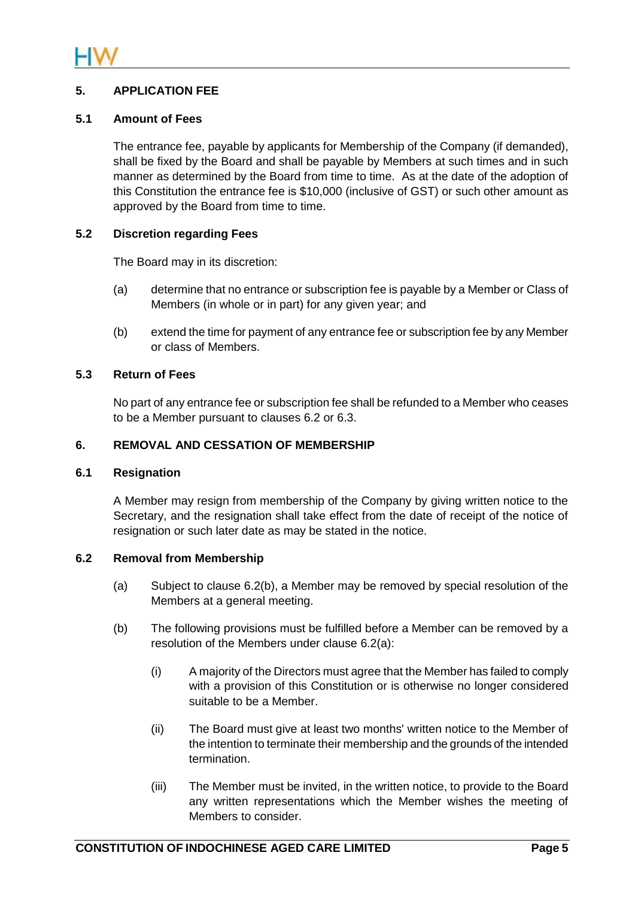

# <span id="page-8-0"></span>**5. APPLICATION FEE**

## **5.1 Amount of Fees**

The entrance fee, payable by applicants for Membership of the Company (if demanded), shall be fixed by the Board and shall be payable by Members at such times and in such manner as determined by the Board from time to time. As at the date of the adoption of this Constitution the entrance fee is \$10,000 (inclusive of GST) or such other amount as approved by the Board from time to time.

## **5.2 Discretion regarding Fees**

The Board may in its discretion:

- (a) determine that no entrance or subscription fee is payable by a Member or Class of Members (in whole or in part) for any given year; and
- (b) extend the time for payment of any entrance fee or subscription fee by any Member or class of Members.

## **5.3 Return of Fees**

No part of any entrance fee or subscription fee shall be refunded to a Member who ceases to be a Member pursuant to clauses [6.2](#page-8-1) or [6.3.](#page-9-0)

## **6. REMOVAL AND CESSATION OF MEMBERSHIP**

## **6.1 Resignation**

A Member may resign from membership of the Company by giving written notice to the Secretary, and the resignation shall take effect from the date of receipt of the notice of resignation or such later date as may be stated in the notice.

## <span id="page-8-3"></span><span id="page-8-1"></span>**6.2 Removal from Membership**

- (a) Subject to clause [6.2\(b\),](#page-8-2) a Member may be removed by special resolution of the Members at a general meeting.
- <span id="page-8-2"></span>(b) The following provisions must be fulfilled before a Member can be removed by a resolution of the Members under clause [6.2\(a\):](#page-8-3)
	- (i) A majority of the Directors must agree that the Member has failed to comply with a provision of this Constitution or is otherwise no longer considered suitable to be a Member.
	- (ii) The Board must give at least two months' written notice to the Member of the intention to terminate their membership and the grounds of the intended termination.
	- (iii) The Member must be invited, in the written notice, to provide to the Board any written representations which the Member wishes the meeting of Members to consider.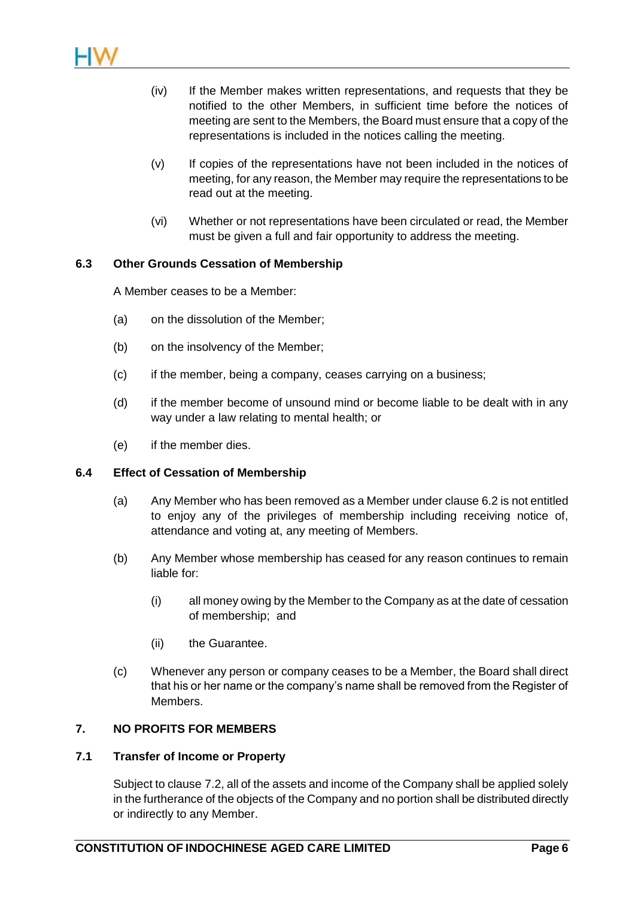

- (iv) If the Member makes written representations, and requests that they be notified to the other Members, in sufficient time before the notices of meeting are sent to the Members, the Board must ensure that a copy of the representations is included in the notices calling the meeting.
- (v) If copies of the representations have not been included in the notices of meeting, for any reason, the Member may require the representations to be read out at the meeting.
- (vi) Whether or not representations have been circulated or read, the Member must be given a full and fair opportunity to address the meeting.

#### <span id="page-9-0"></span>**6.3 Other Grounds Cessation of Membership**

A Member ceases to be a Member:

- (a) on the dissolution of the Member;
- (b) on the insolvency of the Member;
- (c) if the member, being a company, ceases carrying on a business;
- (d) if the member become of unsound mind or become liable to be dealt with in any way under a law relating to mental health; or
- (e) if the member dies.

#### **6.4 Effect of Cessation of Membership**

- (a) Any Member who has been removed as a Member under claus[e 6.2](#page-8-1) is not entitled to enjoy any of the privileges of membership including receiving notice of, attendance and voting at, any meeting of Members.
- (b) Any Member whose membership has ceased for any reason continues to remain liable for:
	- (i) all money owing by the Member to the Company as at the date of cessation of membership; and
	- (ii) the Guarantee.
- (c) Whenever any person or company ceases to be a Member, the Board shall direct that his or her name or the company's name shall be removed from the Register of Members.

## **7. NO PROFITS FOR MEMBERS**

#### <span id="page-9-1"></span>**7.1 Transfer of Income or Property**

Subject to clause [7.2,](#page-10-0) all of the assets and income of the Company shall be applied solely in the furtherance of the objects of the Company and no portion shall be distributed directly or indirectly to any Member.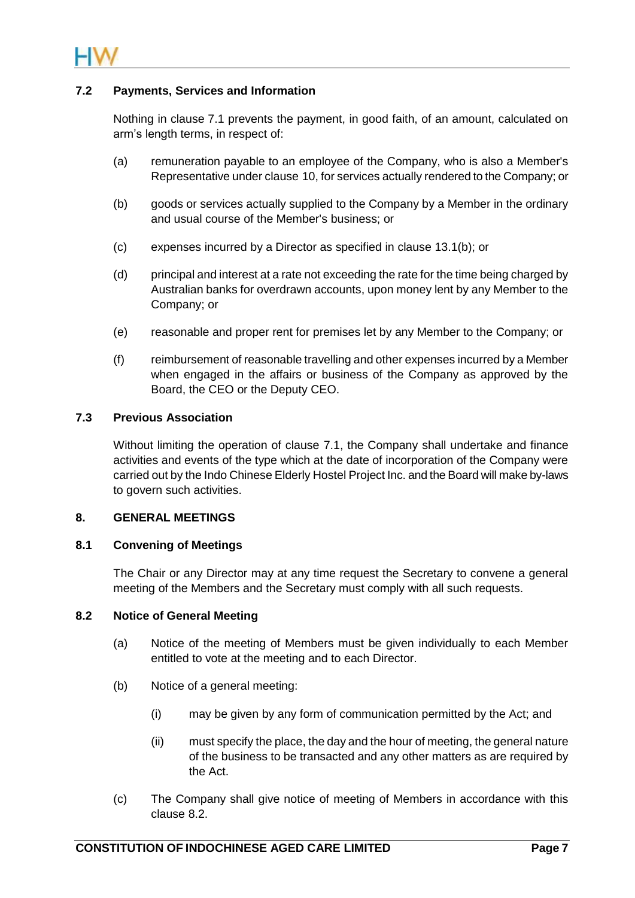

## <span id="page-10-0"></span>**7.2 Payments, Services and Information**

Nothing in clause [7.1](#page-9-1) prevents the payment, in good faith, of an amount, calculated on arm's length terms, in respect of:

- (a) remuneration payable to an employee of the Company, who is also a Member's Representative under clause [10,](#page-17-0) for services actually rendered to the Company; or
- (b) goods or services actually supplied to the Company by a Member in the ordinary and usual course of the Member's business; or
- (c) expenses incurred by a Director as specified in clause [13.1\(b\);](#page-22-0) or
- (d) principal and interest at a rate not exceeding the rate for the time being charged by Australian banks for overdrawn accounts, upon money lent by any Member to the Company; or
- (e) reasonable and proper rent for premises let by any Member to the Company; or
- (f) reimbursement of reasonable travelling and other expenses incurred by a Member when engaged in the affairs or business of the Company as approved by the Board, the CEO or the Deputy CEO.

## **7.3 Previous Association**

Without limiting the operation of clause [7.1,](#page-9-1) the Company shall undertake and finance activities and events of the type which at the date of incorporation of the Company were carried out by the Indo Chinese Elderly Hostel Project Inc. and the Board will make by-laws to govern such activities.

## **8. GENERAL MEETINGS**

## **8.1 Convening of Meetings**

The Chair or any Director may at any time request the Secretary to convene a general meeting of the Members and the Secretary must comply with all such requests.

#### <span id="page-10-1"></span>**8.2 Notice of General Meeting**

- (a) Notice of the meeting of Members must be given individually to each Member entitled to vote at the meeting and to each Director.
- (b) Notice of a general meeting:
	- (i) may be given by any form of communication permitted by the Act; and
	- (ii) must specify the place, the day and the hour of meeting, the general nature of the business to be transacted and any other matters as are required by the Act.
- (c) The Company shall give notice of meeting of Members in accordance with this clause [8.2.](#page-10-1)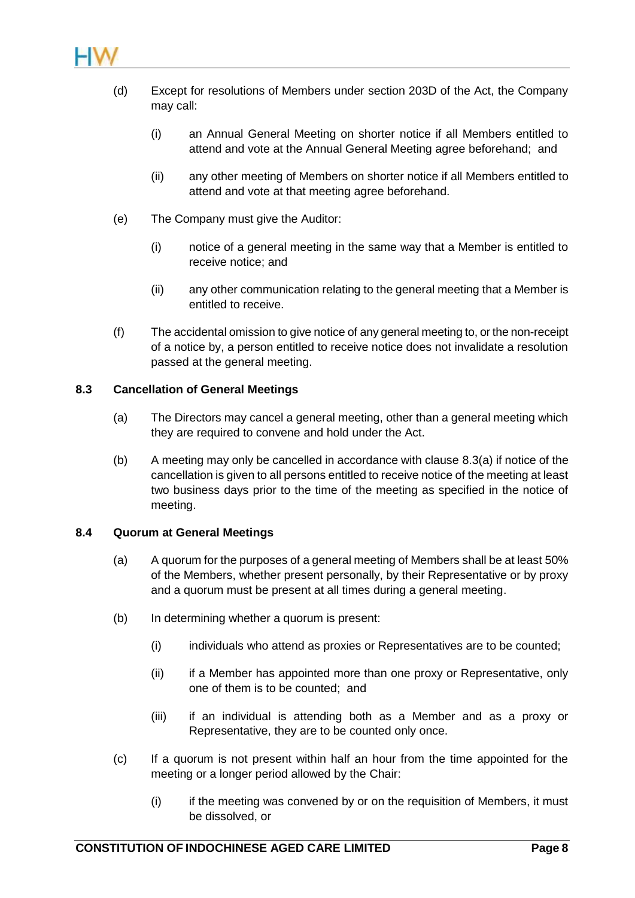

- (d) Except for resolutions of Members under section 203D of the Act, the Company may call:
	- (i) an Annual General Meeting on shorter notice if all Members entitled to attend and vote at the Annual General Meeting agree beforehand; and
	- (ii) any other meeting of Members on shorter notice if all Members entitled to attend and vote at that meeting agree beforehand.
- (e) The Company must give the Auditor:
	- (i) notice of a general meeting in the same way that a Member is entitled to receive notice; and
	- (ii) any other communication relating to the general meeting that a Member is entitled to receive.
- (f) The accidental omission to give notice of any general meeting to, or the non-receipt of a notice by, a person entitled to receive notice does not invalidate a resolution passed at the general meeting.

## <span id="page-11-0"></span>**8.3 Cancellation of General Meetings**

- (a) The Directors may cancel a general meeting, other than a general meeting which they are required to convene and hold under the Act.
- (b) A meeting may only be cancelled in accordance with clause [8.3\(a\)](#page-11-0) if notice of the cancellation is given to all persons entitled to receive notice of the meeting at least two business days prior to the time of the meeting as specified in the notice of meeting.

## **8.4 Quorum at General Meetings**

- (a) A quorum for the purposes of a general meeting of Members shall be at least 50% of the Members, whether present personally, by their Representative or by proxy and a quorum must be present at all times during a general meeting.
- (b) In determining whether a quorum is present:
	- (i) individuals who attend as proxies or Representatives are to be counted;
	- (ii) if a Member has appointed more than one proxy or Representative, only one of them is to be counted; and
	- (iii) if an individual is attending both as a Member and as a proxy or Representative, they are to be counted only once.
- (c) If a quorum is not present within half an hour from the time appointed for the meeting or a longer period allowed by the Chair:
	- (i) if the meeting was convened by or on the requisition of Members, it must be dissolved, or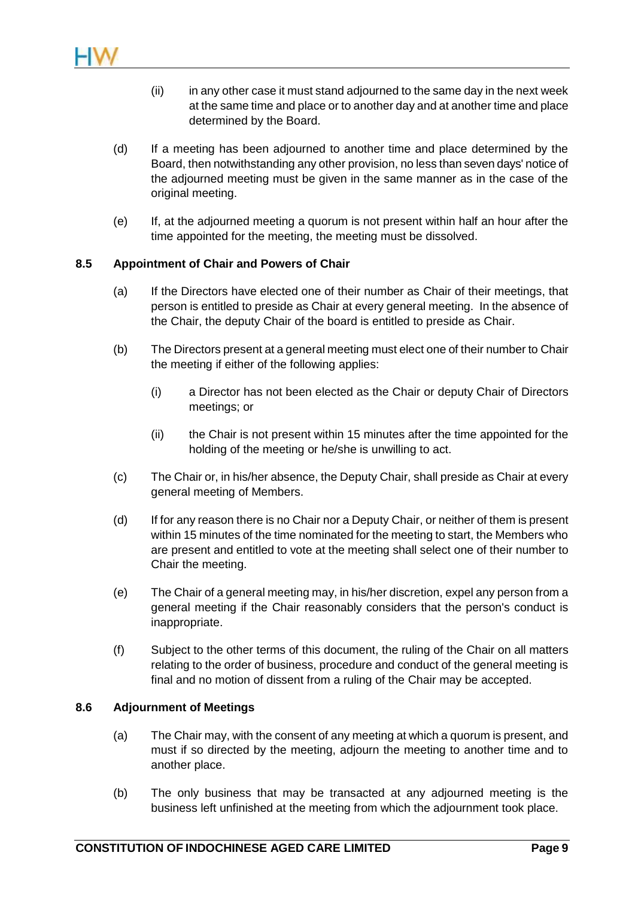

- (ii) in any other case it must stand adjourned to the same day in the next week at the same time and place or to another day and at another time and place determined by the Board.
- (d) If a meeting has been adjourned to another time and place determined by the Board, then notwithstanding any other provision, no less than seven days' notice of the adjourned meeting must be given in the same manner as in the case of the original meeting.
- (e) If, at the adjourned meeting a quorum is not present within half an hour after the time appointed for the meeting, the meeting must be dissolved.

#### **8.5 Appointment of Chair and Powers of Chair**

- (a) If the Directors have elected one of their number as Chair of their meetings, that person is entitled to preside as Chair at every general meeting. In the absence of the Chair, the deputy Chair of the board is entitled to preside as Chair.
- (b) The Directors present at a general meeting must elect one of their number to Chair the meeting if either of the following applies:
	- (i) a Director has not been elected as the Chair or deputy Chair of Directors meetings; or
	- (ii) the Chair is not present within 15 minutes after the time appointed for the holding of the meeting or he/she is unwilling to act.
- (c) The Chair or, in his/her absence, the Deputy Chair, shall preside as Chair at every general meeting of Members.
- (d) If for any reason there is no Chair nor a Deputy Chair, or neither of them is present within 15 minutes of the time nominated for the meeting to start, the Members who are present and entitled to vote at the meeting shall select one of their number to Chair the meeting.
- (e) The Chair of a general meeting may, in his/her discretion, expel any person from a general meeting if the Chair reasonably considers that the person's conduct is inappropriate.
- (f) Subject to the other terms of this document, the ruling of the Chair on all matters relating to the order of business, procedure and conduct of the general meeting is final and no motion of dissent from a ruling of the Chair may be accepted.

#### **8.6 Adjournment of Meetings**

- (a) The Chair may, with the consent of any meeting at which a quorum is present, and must if so directed by the meeting, adjourn the meeting to another time and to another place.
- (b) The only business that may be transacted at any adjourned meeting is the business left unfinished at the meeting from which the adjournment took place.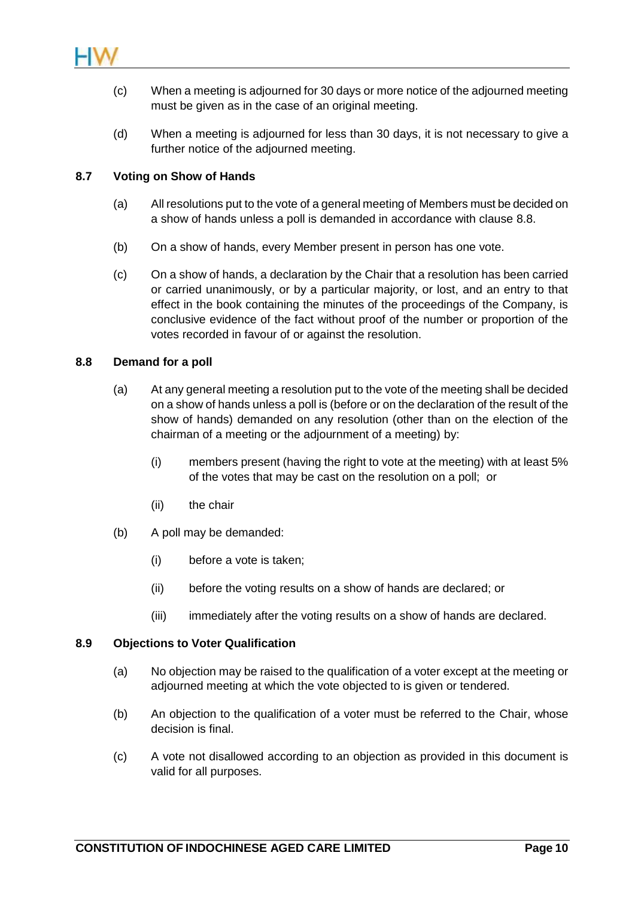

- (c) When a meeting is adjourned for 30 days or more notice of the adjourned meeting must be given as in the case of an original meeting.
- (d) When a meeting is adjourned for less than 30 days, it is not necessary to give a further notice of the adjourned meeting.

## **8.7 Voting on Show of Hands**

- (a) All resolutions put to the vote of a general meeting of Members must be decided on a show of hands unless a poll is demanded in accordance with clause [8.8.](#page-13-0)
- (b) On a show of hands, every Member present in person has one vote.
- (c) On a show of hands, a declaration by the Chair that a resolution has been carried or carried unanimously, or by a particular majority, or lost, and an entry to that effect in the book containing the minutes of the proceedings of the Company, is conclusive evidence of the fact without proof of the number or proportion of the votes recorded in favour of or against the resolution.

## <span id="page-13-0"></span>**8.8 Demand for a poll**

- (a) At any general meeting a resolution put to the vote of the meeting shall be decided on a show of hands unless a poll is (before or on the declaration of the result of the show of hands) demanded on any resolution (other than on the election of the chairman of a meeting or the adjournment of a meeting) by:
	- (i) members present (having the right to vote at the meeting) with at least 5% of the votes that may be cast on the resolution on a poll; or
	- (ii) the chair
- (b) A poll may be demanded:
	- (i) before a vote is taken;
	- (ii) before the voting results on a show of hands are declared; or
	- (iii) immediately after the voting results on a show of hands are declared.

## **8.9 Objections to Voter Qualification**

- (a) No objection may be raised to the qualification of a voter except at the meeting or adjourned meeting at which the vote objected to is given or tendered.
- (b) An objection to the qualification of a voter must be referred to the Chair, whose decision is final.
- (c) A vote not disallowed according to an objection as provided in this document is valid for all purposes.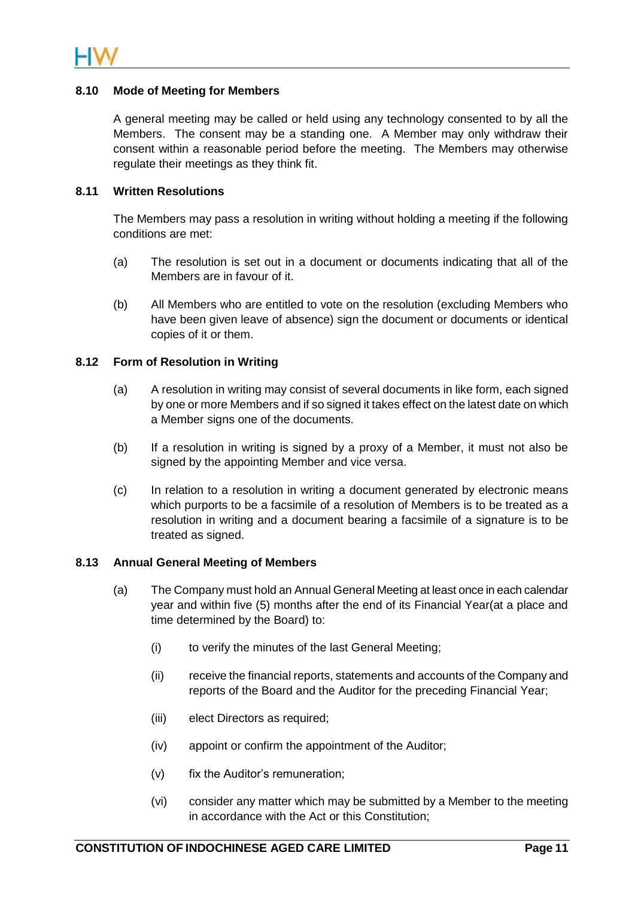## **8.10 Mode of Meeting for Members**

A general meeting may be called or held using any technology consented to by all the Members. The consent may be a standing one. A Member may only withdraw their consent within a reasonable period before the meeting. The Members may otherwise regulate their meetings as they think fit.

## **8.11 Written Resolutions**

The Members may pass a resolution in writing without holding a meeting if the following conditions are met:

- (a) The resolution is set out in a document or documents indicating that all of the Members are in favour of it.
- (b) All Members who are entitled to vote on the resolution (excluding Members who have been given leave of absence) sign the document or documents or identical copies of it or them.

#### **8.12 Form of Resolution in Writing**

- (a) A resolution in writing may consist of several documents in like form, each signed by one or more Members and if so signed it takes effect on the latest date on which a Member signs one of the documents.
- (b) If a resolution in writing is signed by a proxy of a Member, it must not also be signed by the appointing Member and vice versa.
- (c) In relation to a resolution in writing a document generated by electronic means which purports to be a facsimile of a resolution of Members is to be treated as a resolution in writing and a document bearing a facsimile of a signature is to be treated as signed.

#### <span id="page-14-0"></span>**8.13 Annual General Meeting of Members**

- (a) The Company must hold an Annual General Meeting at least once in each calendar year and within five (5) months after the end of its Financial Year(at a place and time determined by the Board) to:
	- (i) to verify the minutes of the last General Meeting;
	- (ii) receive the financial reports, statements and accounts of the Company and reports of the Board and the Auditor for the preceding Financial Year;
	- (iii) elect Directors as required;
	- (iv) appoint or confirm the appointment of the Auditor;
	- (v) fix the Auditor's remuneration;
	- (vi) consider any matter which may be submitted by a Member to the meeting in accordance with the Act or this Constitution;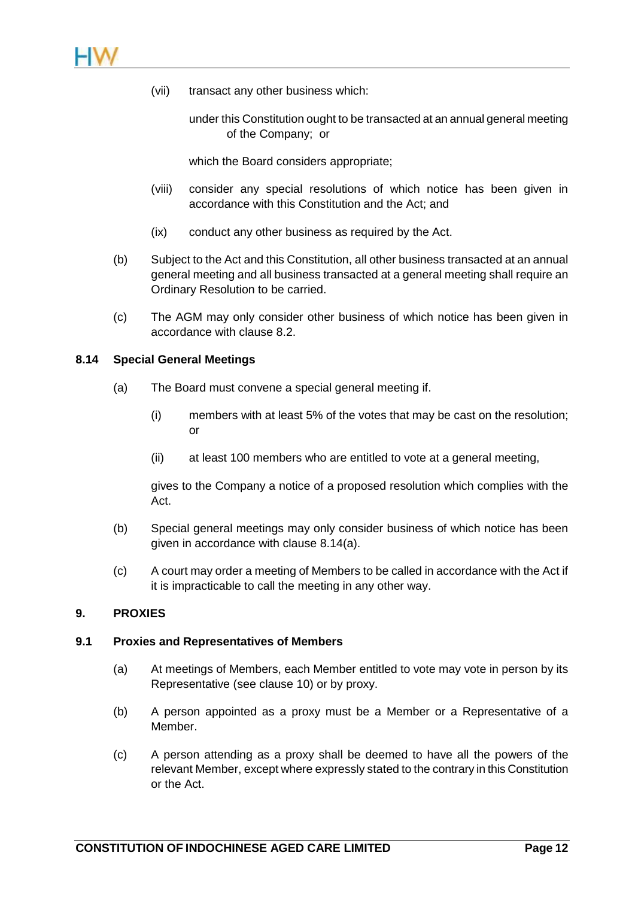

- (vii) transact any other business which:
	- under this Constitution ought to be transacted at an annual general meeting of the Company; or

which the Board considers appropriate;

- (viii) consider any special resolutions of which notice has been given in accordance with this Constitution and the Act; and
- (ix) conduct any other business as required by the Act.
- (b) Subject to the Act and this Constitution, all other business transacted at an annual general meeting and all business transacted at a general meeting shall require an Ordinary Resolution to be carried.
- (c) The AGM may only consider other business of which notice has been given in accordance with clause [8.2.](#page-10-1)

#### <span id="page-15-0"></span>**8.14 Special General Meetings**

- (a) The Board must convene a special general meeting if.
	- (i) members with at least 5% of the votes that may be cast on the resolution; or
	- (ii) at least 100 members who are entitled to vote at a general meeting,

gives to the Company a notice of a proposed resolution which complies with the Act.

- (b) Special general meetings may only consider business of which notice has been given in accordance with clause [8.14\(a\).](#page-15-0)
- (c) A court may order a meeting of Members to be called in accordance with the Act if it is impracticable to call the meeting in any other way.

## **9. PROXIES**

#### **9.1 Proxies and Representatives of Members**

- (a) At meetings of Members, each Member entitled to vote may vote in person by its Representative (see clause [10\)](#page-17-0) or by proxy.
- (b) A person appointed as a proxy must be a Member or a Representative of a Member.
- (c) A person attending as a proxy shall be deemed to have all the powers of the relevant Member, except where expressly stated to the contrary in this Constitution or the Act.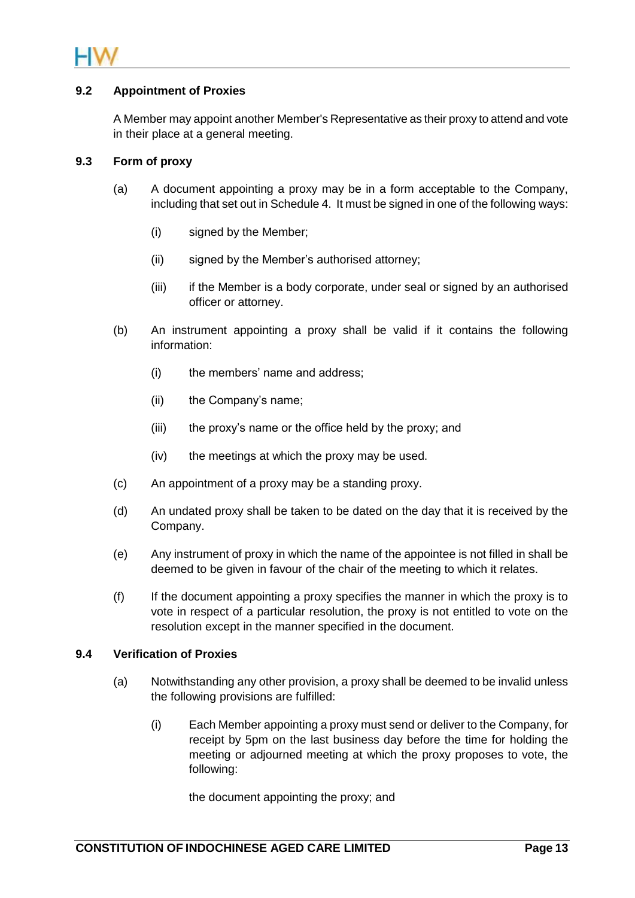

## **9.2 Appointment of Proxies**

A Member may appoint another Member's Representative as their proxy to attend and vote in their place at a general meeting.

## **9.3 Form of proxy**

- (a) A document appointing a proxy may be in a form acceptable to the Company, including that set out i[n Schedule 4.](#page-42-0) It must be signed in one of the following ways:
	- (i) signed by the Member;
	- (ii) signed by the Member's authorised attorney;
	- (iii) if the Member is a body corporate, under seal or signed by an authorised officer or attorney.
- (b) An instrument appointing a proxy shall be valid if it contains the following information:
	- (i) the members' name and address;
	- (ii) the Company's name;
	- (iii) the proxy's name or the office held by the proxy; and
	- (iv) the meetings at which the proxy may be used.
- (c) An appointment of a proxy may be a standing proxy.
- (d) An undated proxy shall be taken to be dated on the day that it is received by the Company.
- (e) Any instrument of proxy in which the name of the appointee is not filled in shall be deemed to be given in favour of the chair of the meeting to which it relates.
- (f) If the document appointing a proxy specifies the manner in which the proxy is to vote in respect of a particular resolution, the proxy is not entitled to vote on the resolution except in the manner specified in the document.

#### <span id="page-16-0"></span>**9.4 Verification of Proxies**

- (a) Notwithstanding any other provision, a proxy shall be deemed to be invalid unless the following provisions are fulfilled:
	- (i) Each Member appointing a proxy must send or deliver to the Company, for receipt by 5pm on the last business day before the time for holding the meeting or adjourned meeting at which the proxy proposes to vote, the following:

the document appointing the proxy; and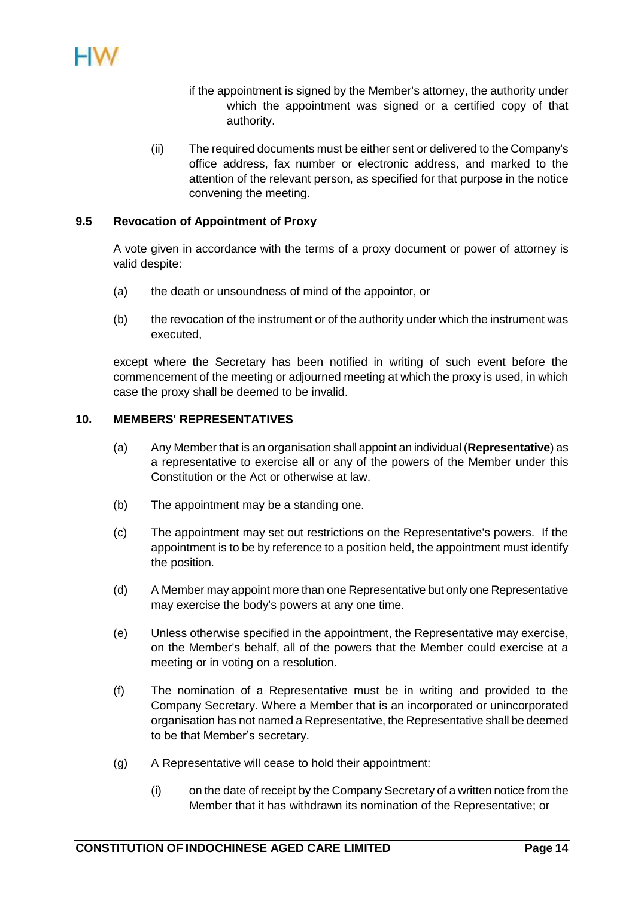- if the appointment is signed by the Member's attorney, the authority under which the appointment was signed or a certified copy of that authority.
- (ii) The required documents must be either sent or delivered to the Company's office address, fax number or electronic address, and marked to the attention of the relevant person, as specified for that purpose in the notice convening the meeting.

## **9.5 Revocation of Appointment of Proxy**

A vote given in accordance with the terms of a proxy document or power of attorney is valid despite:

- (a) the death or unsoundness of mind of the appointor, or
- (b) the revocation of the instrument or of the authority under which the instrument was executed,

except where the Secretary has been notified in writing of such event before the commencement of the meeting or adjourned meeting at which the proxy is used, in which case the proxy shall be deemed to be invalid.

#### <span id="page-17-0"></span>**10. MEMBERS' REPRESENTATIVES**

- (a) Any Member that is an organisation shall appoint an individual (**Representative**) as a representative to exercise all or any of the powers of the Member under this Constitution or the Act or otherwise at law.
- (b) The appointment may be a standing one.
- (c) The appointment may set out restrictions on the Representative's powers. If the appointment is to be by reference to a position held, the appointment must identify the position.
- (d) A Member may appoint more than one Representative but only one Representative may exercise the body's powers at any one time.
- (e) Unless otherwise specified in the appointment, the Representative may exercise, on the Member's behalf, all of the powers that the Member could exercise at a meeting or in voting on a resolution.
- (f) The nomination of a Representative must be in writing and provided to the Company Secretary. Where a Member that is an incorporated or unincorporated organisation has not named a Representative, the Representative shall be deemed to be that Member's secretary.
- (g) A Representative will cease to hold their appointment:
	- (i) on the date of receipt by the Company Secretary of a written notice from the Member that it has withdrawn its nomination of the Representative; or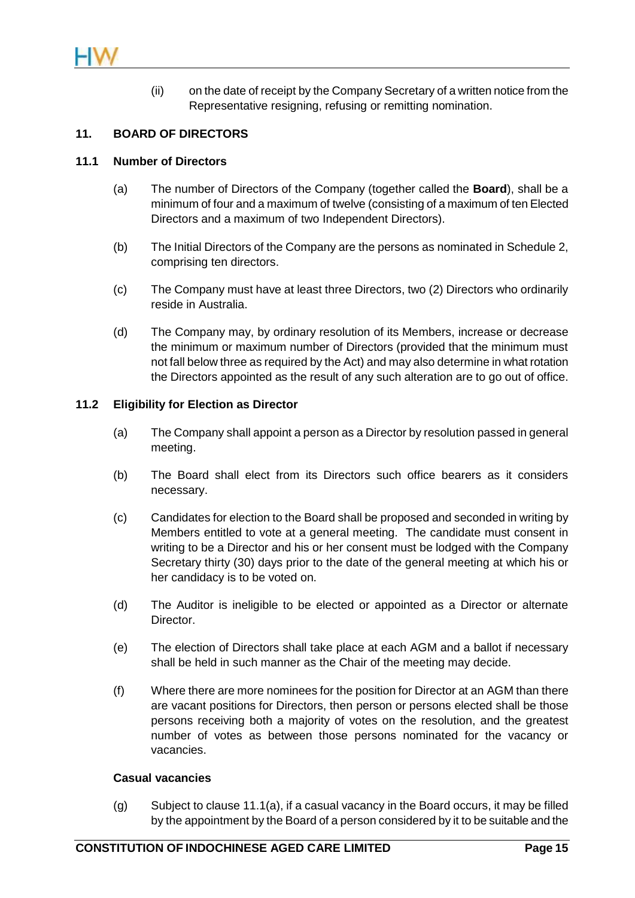

(ii) on the date of receipt by the Company Secretary of a written notice from the Representative resigning, refusing or remitting nomination.

## **11. BOARD OF DIRECTORS**

#### <span id="page-18-0"></span>**11.1 Number of Directors**

- (a) The number of Directors of the Company (together called the **Board**), shall be a minimum of four and a maximum of twelve (consisting of a maximum of ten Elected Directors and a maximum of two Independent Directors).
- <span id="page-18-2"></span>(b) The Initial Directors of the Company are the persons as nominated in [Schedule 2,](#page-40-0) comprising ten directors.
- (c) The Company must have at least three Directors, two (2) Directors who ordinarily reside in Australia.
- (d) The Company may, by ordinary resolution of its Members, increase or decrease the minimum or maximum number of Directors (provided that the minimum must not fall below three as required by the Act) and may also determine in what rotation the Directors appointed as the result of any such alteration are to go out of office.

#### <span id="page-18-1"></span>**11.2 Eligibility for Election as Director**

- (a) The Company shall appoint a person as a Director by resolution passed in general meeting.
- (b) The Board shall elect from its Directors such office bearers as it considers necessary.
- (c) Candidates for election to the Board shall be proposed and seconded in writing by Members entitled to vote at a general meeting. The candidate must consent in writing to be a Director and his or her consent must be lodged with the Company Secretary thirty (30) days prior to the date of the general meeting at which his or her candidacy is to be voted on.
- (d) The Auditor is ineligible to be elected or appointed as a Director or alternate Director.
- (e) The election of Directors shall take place at each AGM and a ballot if necessary shall be held in such manner as the Chair of the meeting may decide.
- (f) Where there are more nominees for the position for Director at an AGM than there are vacant positions for Directors, then person or persons elected shall be those persons receiving both a majority of votes on the resolution, and the greatest number of votes as between those persons nominated for the vacancy or vacancies.

#### **Casual vacancies**

(g) Subject to clause [11.1\(a\),](#page-18-0) if a casual vacancy in the Board occurs, it may be filled by the appointment by the Board of a person considered by it to be suitable and the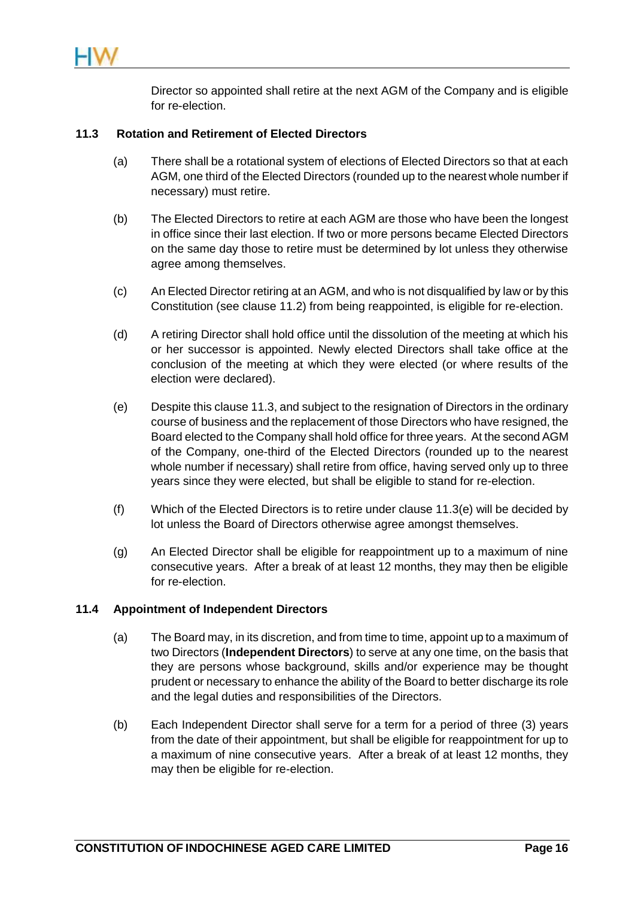Director so appointed shall retire at the next AGM of the Company and is eligible for re-election.

## <span id="page-19-2"></span>**11.3 Rotation and Retirement of Elected Directors**

- <span id="page-19-0"></span>(a) There shall be a rotational system of elections of Elected Directors so that at each AGM, one third of the Elected Directors (rounded up to the nearest whole number if necessary) must retire.
- <span id="page-19-3"></span>(b) The Elected Directors to retire at each AGM are those who have been the longest in office since their last election. If two or more persons became Elected Directors on the same day those to retire must be determined by lot unless they otherwise agree among themselves.
- <span id="page-19-4"></span>(c) An Elected Director retiring at an AGM, and who is not disqualified by law or by this Constitution (see clause [11.2\)](#page-18-1) from being reappointed, is eligible for re-election.
- (d) A retiring Director shall hold office until the dissolution of the meeting at which his or her successor is appointed. Newly elected Directors shall take office at the conclusion of the meeting at which they were elected (or where results of the election were declared).
- <span id="page-19-1"></span>(e) Despite this claus[e 11.3,](#page-19-0) and subject to the resignation of Directors in the ordinary course of business and the replacement of those Directors who have resigned, the Board elected to the Company shall hold office for three years. At the second AGM of the Company, one-third of the Elected Directors (rounded up to the nearest whole number if necessary) shall retire from office, having served only up to three years since they were elected, but shall be eligible to stand for re-election.
- (f) Which of the Elected Directors is to retire under clause [11.3\(e\)](#page-19-1) will be decided by lot unless the Board of Directors otherwise agree amongst themselves.
- (g) An Elected Director shall be eligible for reappointment up to a maximum of nine consecutive years. After a break of at least 12 months, they may then be eligible for re-election.

## <span id="page-19-5"></span>**11.4 Appointment of Independent Directors**

- (a) The Board may, in its discretion, and from time to time, appoint up to a maximum of two Directors (**Independent Directors**) to serve at any one time, on the basis that they are persons whose background, skills and/or experience may be thought prudent or necessary to enhance the ability of the Board to better discharge its role and the legal duties and responsibilities of the Directors.
- (b) Each Independent Director shall serve for a term for a period of three (3) years from the date of their appointment, but shall be eligible for reappointment for up to a maximum of nine consecutive years. After a break of at least 12 months, they may then be eligible for re-election.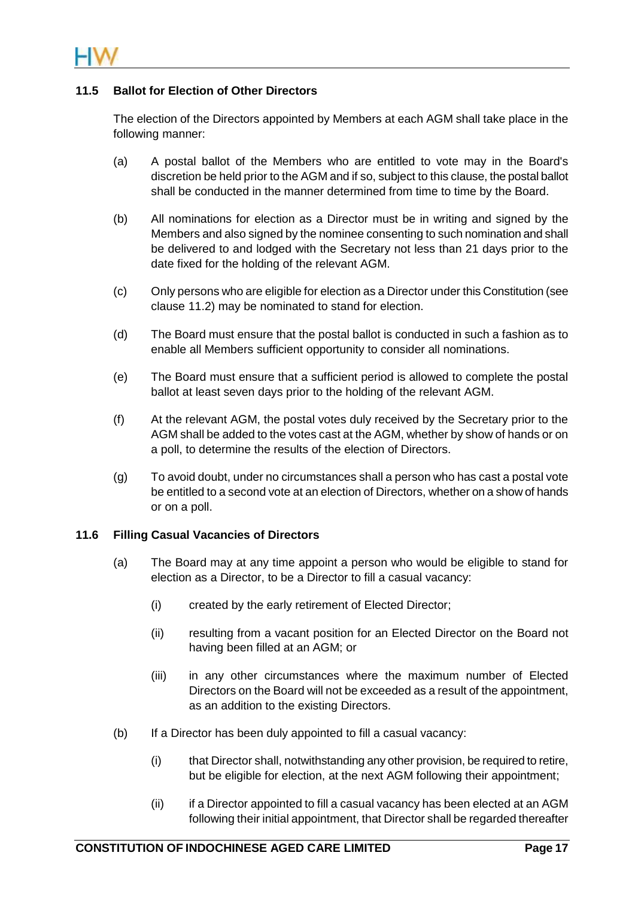

## <span id="page-20-0"></span>**11.5 Ballot for Election of Other Directors**

The election of the Directors appointed by Members at each AGM shall take place in the following manner:

- (a) A postal ballot of the Members who are entitled to vote may in the Board's discretion be held prior to the AGM and if so, subject to this clause, the postal ballot shall be conducted in the manner determined from time to time by the Board.
- (b) All nominations for election as a Director must be in writing and signed by the Members and also signed by the nominee consenting to such nomination and shall be delivered to and lodged with the Secretary not less than 21 days prior to the date fixed for the holding of the relevant AGM.
- (c) Only persons who are eligible for election as a Director under this Constitution (see clause [11.2\)](#page-18-1) may be nominated to stand for election.
- (d) The Board must ensure that the postal ballot is conducted in such a fashion as to enable all Members sufficient opportunity to consider all nominations.
- (e) The Board must ensure that a sufficient period is allowed to complete the postal ballot at least seven days prior to the holding of the relevant AGM.
- (f) At the relevant AGM, the postal votes duly received by the Secretary prior to the AGM shall be added to the votes cast at the AGM, whether by show of hands or on a poll, to determine the results of the election of Directors.
- (g) To avoid doubt, under no circumstances shall a person who has cast a postal vote be entitled to a second vote at an election of Directors, whether on a show of hands or on a poll.

## **11.6 Filling Casual Vacancies of Directors**

- (a) The Board may at any time appoint a person who would be eligible to stand for election as a Director, to be a Director to fill a casual vacancy:
	- (i) created by the early retirement of Elected Director;
	- (ii) resulting from a vacant position for an Elected Director on the Board not having been filled at an AGM; or
	- (iii) in any other circumstances where the maximum number of Elected Directors on the Board will not be exceeded as a result of the appointment, as an addition to the existing Directors.
- (b) If a Director has been duly appointed to fill a casual vacancy:
	- (i) that Director shall, notwithstanding any other provision, be required to retire, but be eligible for election, at the next AGM following their appointment;
	- (ii) if a Director appointed to fill a casual vacancy has been elected at an AGM following their initial appointment, that Director shall be regarded thereafter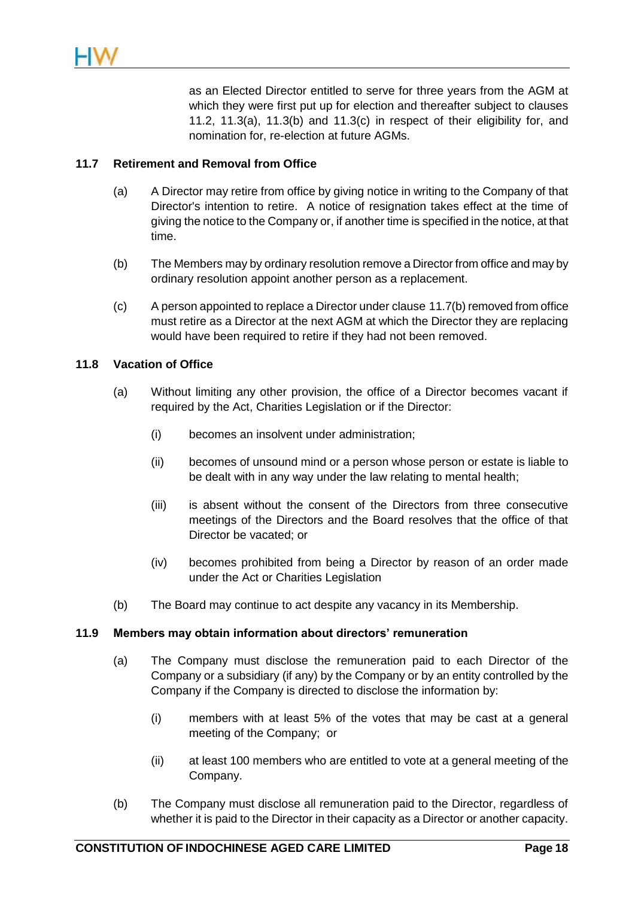as an Elected Director entitled to serve for three years from the AGM at which they were first put up for election and thereafter subject to clauses [11.2,](#page-18-1) [11.3\(a\),](#page-19-2) [11.3\(b\)](#page-19-3) and [11.3\(c\)](#page-19-4) in respect of their eligibility for, and nomination for, re-election at future AGMs.

## **11.7 Retirement and Removal from Office**

- (a) A Director may retire from office by giving notice in writing to the Company of that Director's intention to retire. A notice of resignation takes effect at the time of giving the notice to the Company or, if another time is specified in the notice, at that time.
- <span id="page-21-0"></span>(b) The Members may by ordinary resolution remove a Director from office and may by ordinary resolution appoint another person as a replacement.
- (c) A person appointed to replace a Director under clause [11.7\(b\)](#page-21-0) removed from office must retire as a Director at the next AGM at which the Director they are replacing would have been required to retire if they had not been removed.

## **11.8 Vacation of Office**

- (a) Without limiting any other provision, the office of a Director becomes vacant if required by the Act, Charities Legislation or if the Director:
	- (i) becomes an insolvent under administration;
	- (ii) becomes of unsound mind or a person whose person or estate is liable to be dealt with in any way under the law relating to mental health;
	- (iii) is absent without the consent of the Directors from three consecutive meetings of the Directors and the Board resolves that the office of that Director be vacated; or
	- (iv) becomes prohibited from being a Director by reason of an order made under the Act or Charities Legislation
- (b) The Board may continue to act despite any vacancy in its Membership.

## **11.9 Members may obtain information about directors' remuneration**

- (a) The Company must disclose the remuneration paid to each Director of the Company or a subsidiary (if any) by the Company or by an entity controlled by the Company if the Company is directed to disclose the information by:
	- (i) members with at least 5% of the votes that may be cast at a general meeting of the Company; or
	- (ii) at least 100 members who are entitled to vote at a general meeting of the Company.
- (b) The Company must disclose all remuneration paid to the Director, regardless of whether it is paid to the Director in their capacity as a Director or another capacity.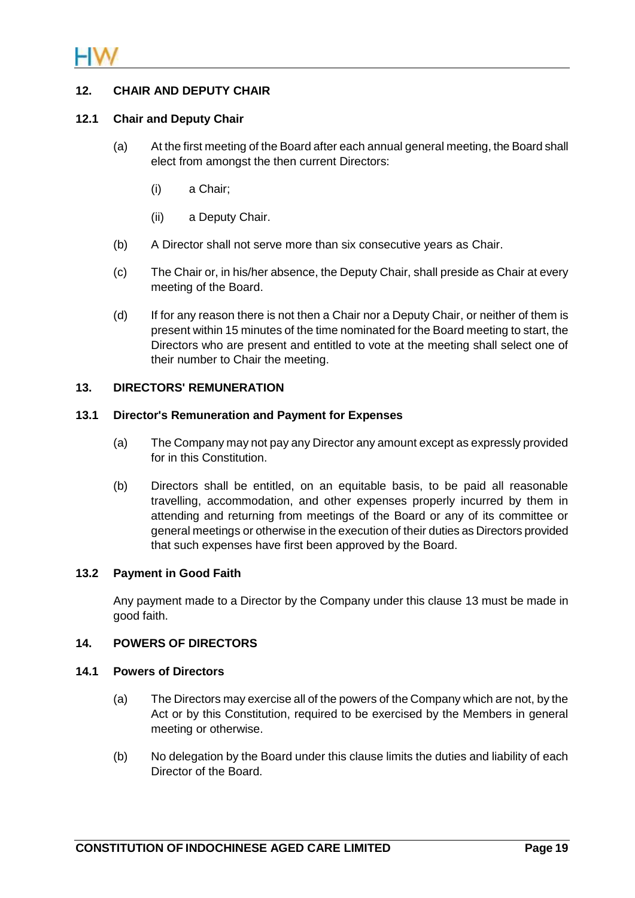

## **12. CHAIR AND DEPUTY CHAIR**

#### **12.1 Chair and Deputy Chair**

- (a) At the first meeting of the Board after each annual general meeting, the Board shall elect from amongst the then current Directors:
	- (i) a Chair;
	- (ii) a Deputy Chair.
- (b) A Director shall not serve more than six consecutive years as Chair.
- (c) The Chair or, in his/her absence, the Deputy Chair, shall preside as Chair at every meeting of the Board.
- (d) If for any reason there is not then a Chair nor a Deputy Chair, or neither of them is present within 15 minutes of the time nominated for the Board meeting to start, the Directors who are present and entitled to vote at the meeting shall select one of their number to Chair the meeting.

#### <span id="page-22-1"></span>**13. DIRECTORS' REMUNERATION**

#### **13.1 Director's Remuneration and Payment for Expenses**

- (a) The Company may not pay any Director any amount except as expressly provided for in this Constitution.
- <span id="page-22-0"></span>(b) Directors shall be entitled, on an equitable basis, to be paid all reasonable travelling, accommodation, and other expenses properly incurred by them in attending and returning from meetings of the Board or any of its committee or general meetings or otherwise in the execution of their duties as Directors provided that such expenses have first been approved by the Board.

## **13.2 Payment in Good Faith**

Any payment made to a Director by the Company under this clause [13](#page-22-1) must be made in good faith.

## <span id="page-22-2"></span>**14. POWERS OF DIRECTORS**

#### **14.1 Powers of Directors**

- (a) The Directors may exercise all of the powers of the Company which are not, by the Act or by this Constitution, required to be exercised by the Members in general meeting or otherwise.
- (b) No delegation by the Board under this clause limits the duties and liability of each Director of the Board.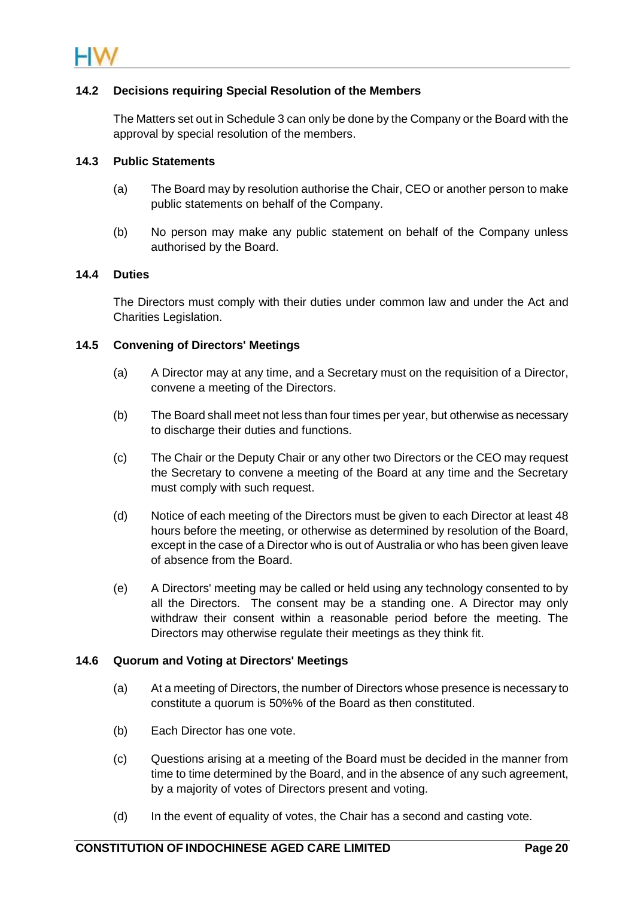

## <span id="page-23-0"></span>**14.2 Decisions requiring Special Resolution of the Members**

The Matters set out in [Schedule 3](#page-41-0) can only be done by the Company or the Board with the approval by special resolution of the members.

## **14.3 Public Statements**

- (a) The Board may by resolution authorise the Chair, CEO or another person to make public statements on behalf of the Company.
- (b) No person may make any public statement on behalf of the Company unless authorised by the Board.

## **14.4 Duties**

The Directors must comply with their duties under common law and under the Act and Charities Legislation.

#### **14.5 Convening of Directors' Meetings**

- (a) A Director may at any time, and a Secretary must on the requisition of a Director, convene a meeting of the Directors.
- (b) The Board shall meet not less than four times per year, but otherwise as necessary to discharge their duties and functions.
- (c) The Chair or the Deputy Chair or any other two Directors or the CEO may request the Secretary to convene a meeting of the Board at any time and the Secretary must comply with such request.
- (d) Notice of each meeting of the Directors must be given to each Director at least 48 hours before the meeting, or otherwise as determined by resolution of the Board, except in the case of a Director who is out of Australia or who has been given leave of absence from the Board.
- (e) A Directors' meeting may be called or held using any technology consented to by all the Directors. The consent may be a standing one. A Director may only withdraw their consent within a reasonable period before the meeting. The Directors may otherwise regulate their meetings as they think fit.

#### **14.6 Quorum and Voting at Directors' Meetings**

- (a) At a meeting of Directors, the number of Directors whose presence is necessary to constitute a quorum is 50%% of the Board as then constituted.
- (b) Each Director has one vote.
- (c) Questions arising at a meeting of the Board must be decided in the manner from time to time determined by the Board, and in the absence of any such agreement, by a majority of votes of Directors present and voting.
- (d) In the event of equality of votes, the Chair has a second and casting vote.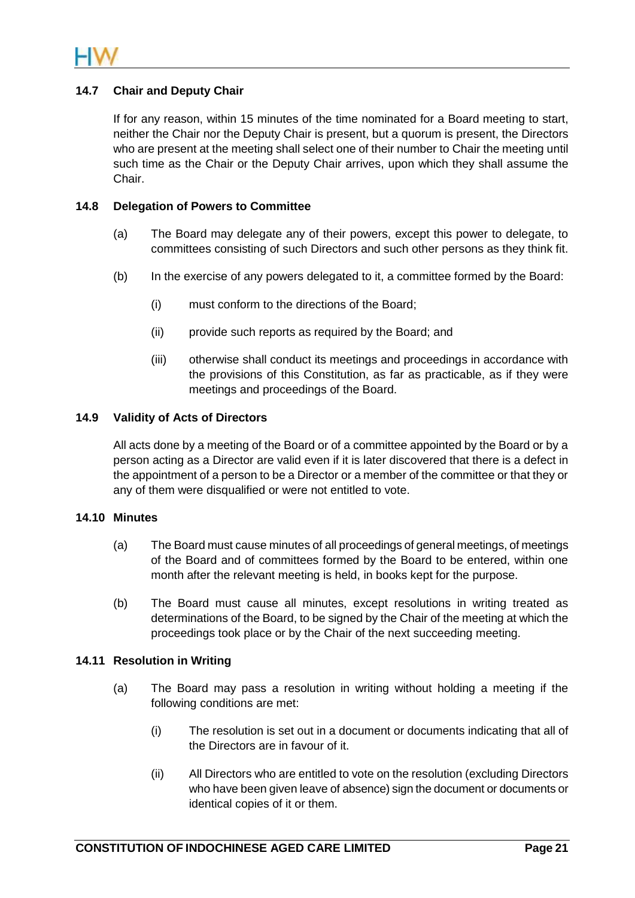

## **14.7 Chair and Deputy Chair**

If for any reason, within 15 minutes of the time nominated for a Board meeting to start, neither the Chair nor the Deputy Chair is present, but a quorum is present, the Directors who are present at the meeting shall select one of their number to Chair the meeting until such time as the Chair or the Deputy Chair arrives, upon which they shall assume the Chair.

#### **14.8 Delegation of Powers to Committee**

- (a) The Board may delegate any of their powers, except this power to delegate, to committees consisting of such Directors and such other persons as they think fit.
- (b) In the exercise of any powers delegated to it, a committee formed by the Board:
	- (i) must conform to the directions of the Board;
	- (ii) provide such reports as required by the Board; and
	- (iii) otherwise shall conduct its meetings and proceedings in accordance with the provisions of this Constitution, as far as practicable, as if they were meetings and proceedings of the Board.

## **14.9 Validity of Acts of Directors**

All acts done by a meeting of the Board or of a committee appointed by the Board or by a person acting as a Director are valid even if it is later discovered that there is a defect in the appointment of a person to be a Director or a member of the committee or that they or any of them were disqualified or were not entitled to vote.

#### **14.10 Minutes**

- (a) The Board must cause minutes of all proceedings of general meetings, of meetings of the Board and of committees formed by the Board to be entered, within one month after the relevant meeting is held, in books kept for the purpose.
- (b) The Board must cause all minutes, except resolutions in writing treated as determinations of the Board, to be signed by the Chair of the meeting at which the proceedings took place or by the Chair of the next succeeding meeting.

## **14.11 Resolution in Writing**

- (a) The Board may pass a resolution in writing without holding a meeting if the following conditions are met:
	- (i) The resolution is set out in a document or documents indicating that all of the Directors are in favour of it.
	- (ii) All Directors who are entitled to vote on the resolution (excluding Directors who have been given leave of absence) sign the document or documents or identical copies of it or them.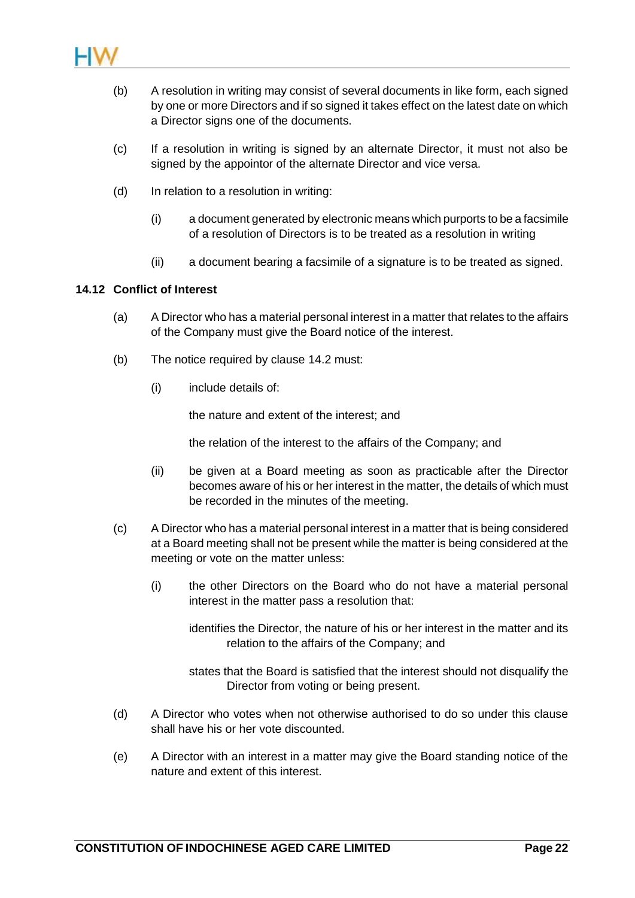

- (b) A resolution in writing may consist of several documents in like form, each signed by one or more Directors and if so signed it takes effect on the latest date on which a Director signs one of the documents.
- (c) If a resolution in writing is signed by an alternate Director, it must not also be signed by the appointor of the alternate Director and vice versa.
- (d) In relation to a resolution in writing:
	- (i) a document generated by electronic means which purports to be a facsimile of a resolution of Directors is to be treated as a resolution in writing
	- (ii) a document bearing a facsimile of a signature is to be treated as signed.

## **14.12 Conflict of Interest**

- (a) A Director who has a material personal interest in a matter that relates to the affairs of the Company must give the Board notice of the interest.
- (b) The notice required by clause [14.2](#page-23-0) must:
	- (i) include details of:

the nature and extent of the interest; and

the relation of the interest to the affairs of the Company; and

- (ii) be given at a Board meeting as soon as practicable after the Director becomes aware of his or her interest in the matter, the details of which must be recorded in the minutes of the meeting.
- (c) A Director who has a material personal interest in a matter that is being considered at a Board meeting shall not be present while the matter is being considered at the meeting or vote on the matter unless:
	- (i) the other Directors on the Board who do not have a material personal interest in the matter pass a resolution that:

identifies the Director, the nature of his or her interest in the matter and its relation to the affairs of the Company; and

states that the Board is satisfied that the interest should not disqualify the Director from voting or being present.

- (d) A Director who votes when not otherwise authorised to do so under this clause shall have his or her vote discounted.
- (e) A Director with an interest in a matter may give the Board standing notice of the nature and extent of this interest.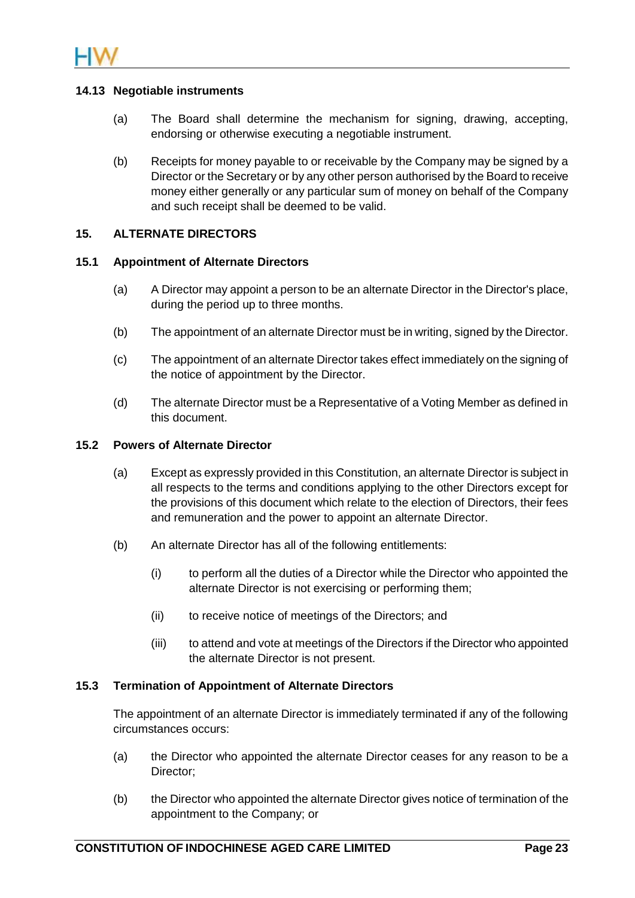

## **14.13 Negotiable instruments**

- (a) The Board shall determine the mechanism for signing, drawing, accepting, endorsing or otherwise executing a negotiable instrument.
- (b) Receipts for money payable to or receivable by the Company may be signed by a Director or the Secretary or by any other person authorised by the Board to receive money either generally or any particular sum of money on behalf of the Company and such receipt shall be deemed to be valid.

#### **15. ALTERNATE DIRECTORS**

#### **15.1 Appointment of Alternate Directors**

- (a) A Director may appoint a person to be an alternate Director in the Director's place, during the period up to three months.
- (b) The appointment of an alternate Director must be in writing, signed by the Director.
- (c) The appointment of an alternate Director takes effect immediately on the signing of the notice of appointment by the Director.
- (d) The alternate Director must be a Representative of a Voting Member as defined in this document.

#### **15.2 Powers of Alternate Director**

- (a) Except as expressly provided in this Constitution, an alternate Director is subject in all respects to the terms and conditions applying to the other Directors except for the provisions of this document which relate to the election of Directors, their fees and remuneration and the power to appoint an alternate Director.
- (b) An alternate Director has all of the following entitlements:
	- (i) to perform all the duties of a Director while the Director who appointed the alternate Director is not exercising or performing them;
	- (ii) to receive notice of meetings of the Directors; and
	- (iii) to attend and vote at meetings of the Directors if the Director who appointed the alternate Director is not present.

#### **15.3 Termination of Appointment of Alternate Directors**

The appointment of an alternate Director is immediately terminated if any of the following circumstances occurs:

- (a) the Director who appointed the alternate Director ceases for any reason to be a Director;
- (b) the Director who appointed the alternate Director gives notice of termination of the appointment to the Company; or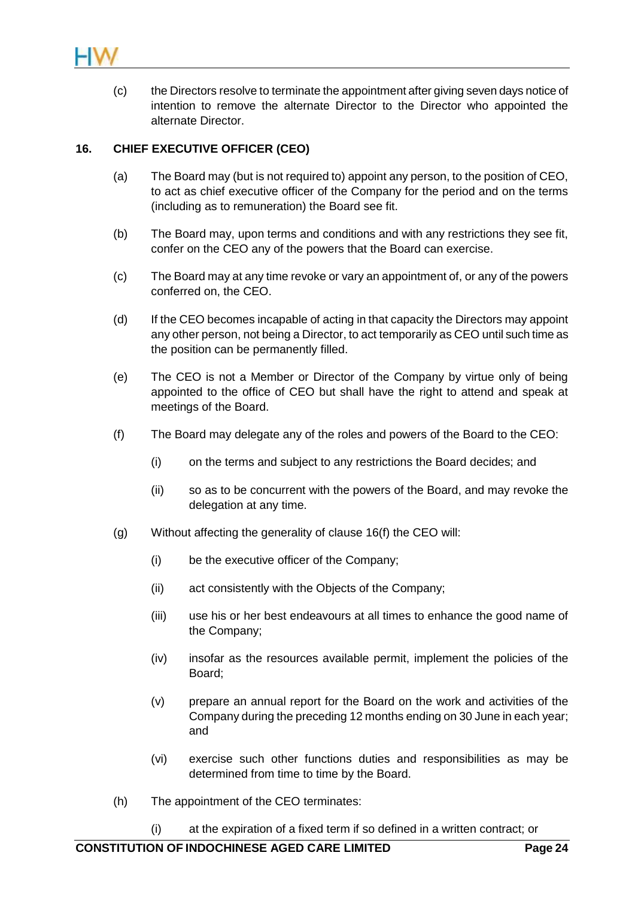

(c) the Directors resolve to terminate the appointment after giving seven days notice of intention to remove the alternate Director to the Director who appointed the alternate Director.

## <span id="page-27-1"></span>**16. CHIEF EXECUTIVE OFFICER (CEO)**

- (a) The Board may (but is not required to) appoint any person, to the position of CEO, to act as chief executive officer of the Company for the period and on the terms (including as to remuneration) the Board see fit.
- (b) The Board may, upon terms and conditions and with any restrictions they see fit, confer on the CEO any of the powers that the Board can exercise.
- (c) The Board may at any time revoke or vary an appointment of, or any of the powers conferred on, the CEO.
- (d) If the CEO becomes incapable of acting in that capacity the Directors may appoint any other person, not being a Director, to act temporarily as CEO until such time as the position can be permanently filled.
- (e) The CEO is not a Member or Director of the Company by virtue only of being appointed to the office of CEO but shall have the right to attend and speak at meetings of the Board.
- <span id="page-27-0"></span>(f) The Board may delegate any of the roles and powers of the Board to the CEO:
	- (i) on the terms and subject to any restrictions the Board decides; and
	- (ii) so as to be concurrent with the powers of the Board, and may revoke the delegation at any time.
- (g) Without affecting the generality of clause [16\(f\)](#page-27-0) the CEO will:
	- (i) be the executive officer of the Company;
	- (ii) act consistently with the Objects of the Company;
	- (iii) use his or her best endeavours at all times to enhance the good name of the Company;
	- (iv) insofar as the resources available permit, implement the policies of the Board;
	- (v) prepare an annual report for the Board on the work and activities of the Company during the preceding 12 months ending on 30 June in each year; and
	- (vi) exercise such other functions duties and responsibilities as may be determined from time to time by the Board.
- (h) The appointment of the CEO terminates:
	- (i) at the expiration of a fixed term if so defined in a written contract; or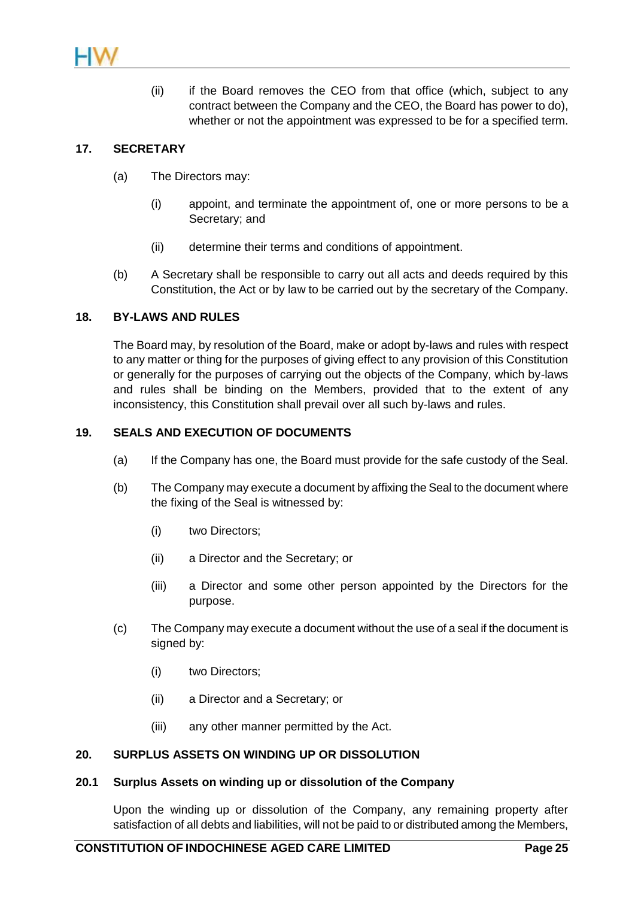

(ii) if the Board removes the CEO from that office (which, subject to any contract between the Company and the CEO, the Board has power to do), whether or not the appointment was expressed to be for a specified term.

## **17. SECRETARY**

- (a) The Directors may:
	- (i) appoint, and terminate the appointment of, one or more persons to be a Secretary; and
	- (ii) determine their terms and conditions of appointment.
- (b) A Secretary shall be responsible to carry out all acts and deeds required by this Constitution, the Act or by law to be carried out by the secretary of the Company.

## **18. BY-LAWS AND RULES**

The Board may, by resolution of the Board, make or adopt by-laws and rules with respect to any matter or thing for the purposes of giving effect to any provision of this Constitution or generally for the purposes of carrying out the objects of the Company, which by-laws and rules shall be binding on the Members, provided that to the extent of any inconsistency, this Constitution shall prevail over all such by-laws and rules.

## **19. SEALS AND EXECUTION OF DOCUMENTS**

- (a) If the Company has one, the Board must provide for the safe custody of the Seal.
- (b) The Company may execute a document by affixing the Seal to the document where the fixing of the Seal is witnessed by:
	- (i) two Directors;
	- (ii) a Director and the Secretary; or
	- (iii) a Director and some other person appointed by the Directors for the purpose.
- (c) The Company may execute a document without the use of a seal if the document is signed by:
	- (i) two Directors;
	- (ii) a Director and a Secretary; or
	- (iii) any other manner permitted by the Act.

## **20. SURPLUS ASSETS ON WINDING UP OR DISSOLUTION**

#### **20.1 Surplus Assets on winding up or dissolution of the Company**

Upon the winding up or dissolution of the Company, any remaining property after satisfaction of all debts and liabilities, will not be paid to or distributed among the Members,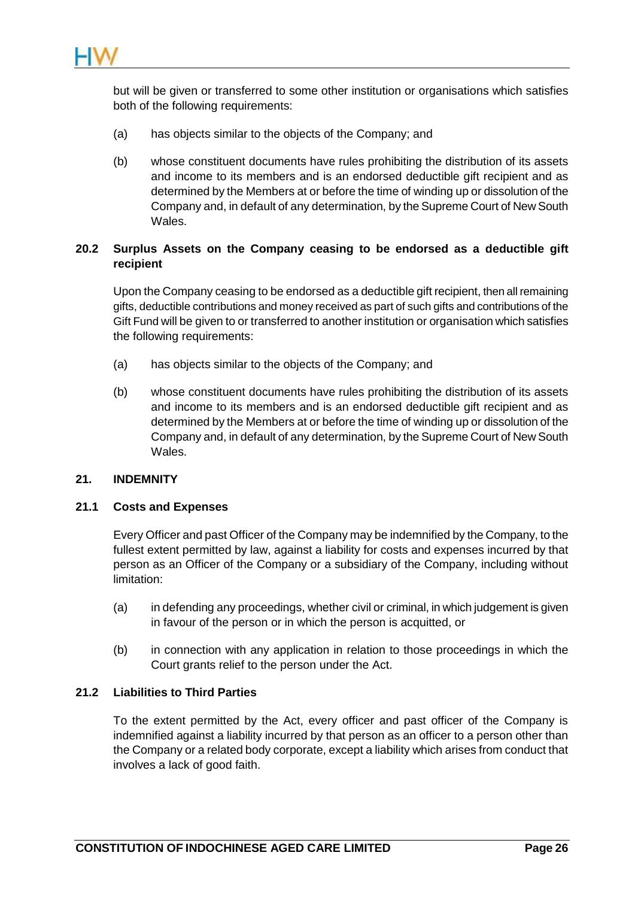

but will be given or transferred to some other institution or organisations which satisfies both of the following requirements:

- (a) has objects similar to the objects of the Company; and
- (b) whose constituent documents have rules prohibiting the distribution of its assets and income to its members and is an endorsed deductible gift recipient and as determined by the Members at or before the time of winding up or dissolution of the Company and, in default of any determination, by the Supreme Court of New South Wales.

## **20.2 Surplus Assets on the Company ceasing to be endorsed as a deductible gift recipient**

Upon the Company ceasing to be endorsed as a deductible gift recipient, then all remaining gifts, deductible contributions and money received as part of such gifts and contributions of the Gift Fund will be given to or transferred to another institution or organisation which satisfies the following requirements:

- (a) has objects similar to the objects of the Company; and
- (b) whose constituent documents have rules prohibiting the distribution of its assets and income to its members and is an endorsed deductible gift recipient and as determined by the Members at or before the time of winding up or dissolution of the Company and, in default of any determination, by the Supreme Court of New South Wales.

#### **21. INDEMNITY**

## **21.1 Costs and Expenses**

Every Officer and past Officer of the Company may be indemnified by the Company, to the fullest extent permitted by law, against a liability for costs and expenses incurred by that person as an Officer of the Company or a subsidiary of the Company, including without limitation:

- (a) in defending any proceedings, whether civil or criminal, in which judgement is given in favour of the person or in which the person is acquitted, or
- (b) in connection with any application in relation to those proceedings in which the Court grants relief to the person under the Act.

#### **21.2 Liabilities to Third Parties**

To the extent permitted by the Act, every officer and past officer of the Company is indemnified against a liability incurred by that person as an officer to a person other than the Company or a related body corporate, except a liability which arises from conduct that involves a lack of good faith.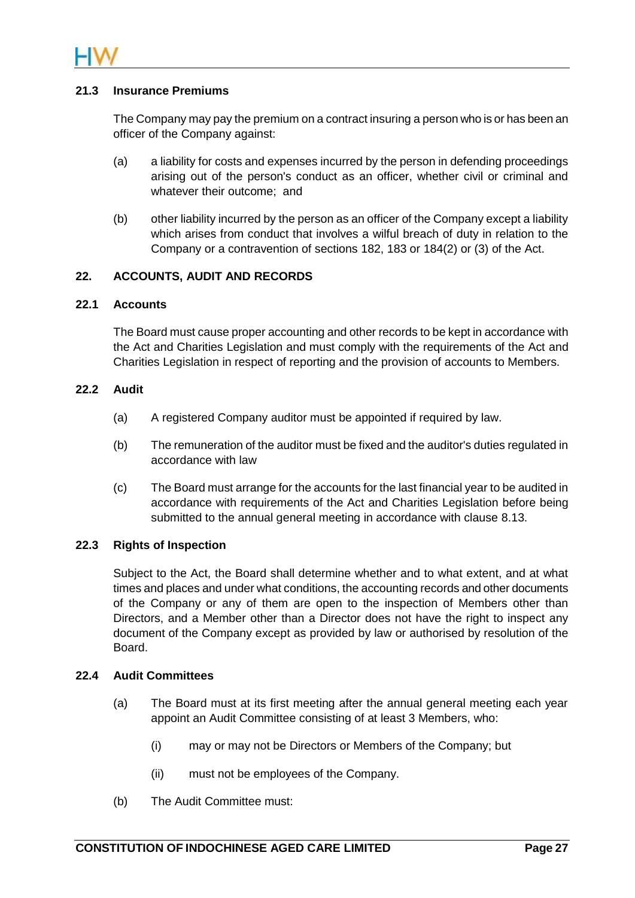

## **21.3 Insurance Premiums**

The Company may pay the premium on a contract insuring a person who is or has been an officer of the Company against:

- (a) a liability for costs and expenses incurred by the person in defending proceedings arising out of the person's conduct as an officer, whether civil or criminal and whatever their outcome; and
- (b) other liability incurred by the person as an officer of the Company except a liability which arises from conduct that involves a wilful breach of duty in relation to the Company or a contravention of sections 182, 183 or 184(2) or (3) of the Act.

## **22. ACCOUNTS, AUDIT AND RECORDS**

#### **22.1 Accounts**

The Board must cause proper accounting and other records to be kept in accordance with the Act and Charities Legislation and must comply with the requirements of the Act and Charities Legislation in respect of reporting and the provision of accounts to Members.

#### **22.2 Audit**

- (a) A registered Company auditor must be appointed if required by law.
- (b) The remuneration of the auditor must be fixed and the auditor's duties regulated in accordance with law
- (c) The Board must arrange for the accounts for the last financial year to be audited in accordance with requirements of the Act and Charities Legislation before being submitted to the annual general meeting in accordance with clause [8.13.](#page-14-0)

## **22.3 Rights of Inspection**

Subject to the Act, the Board shall determine whether and to what extent, and at what times and places and under what conditions, the accounting records and other documents of the Company or any of them are open to the inspection of Members other than Directors, and a Member other than a Director does not have the right to inspect any document of the Company except as provided by law or authorised by resolution of the Board.

#### <span id="page-30-0"></span>**22.4 Audit Committees**

- (a) The Board must at its first meeting after the annual general meeting each year appoint an Audit Committee consisting of at least 3 Members, who:
	- (i) may or may not be Directors or Members of the Company; but
	- (ii) must not be employees of the Company.
- (b) The Audit Committee must: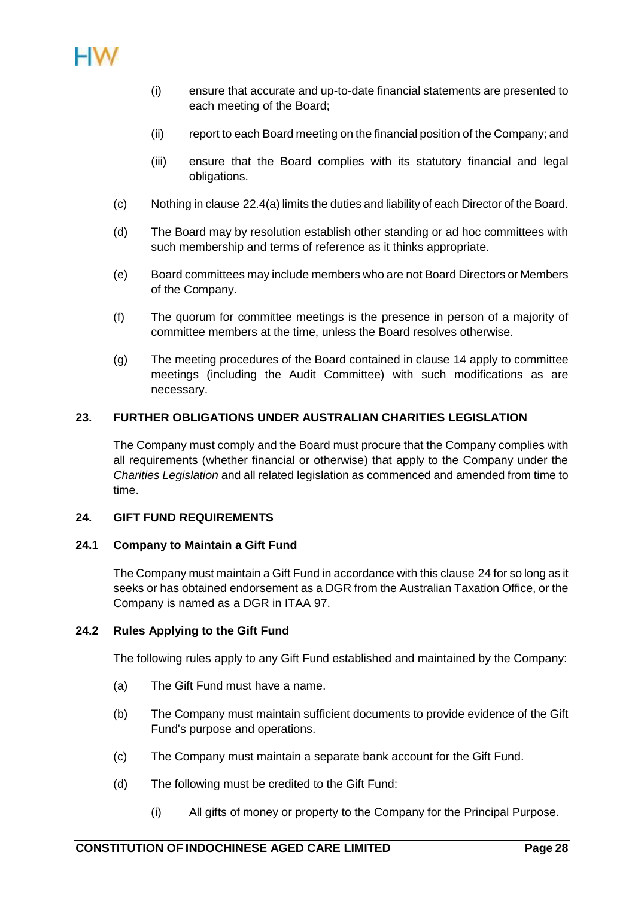

- (i) ensure that accurate and up-to-date financial statements are presented to each meeting of the Board;
- (ii) report to each Board meeting on the financial position of the Company; and
- (iii) ensure that the Board complies with its statutory financial and legal obligations.
- (c) Nothing in clause [22.4\(a\)](#page-30-0) limits the duties and liability of each Director of the Board.
- (d) The Board may by resolution establish other standing or ad hoc committees with such membership and terms of reference as it thinks appropriate.
- (e) Board committees may include members who are not Board Directors or Members of the Company.
- (f) The quorum for committee meetings is the presence in person of a majority of committee members at the time, unless the Board resolves otherwise.
- (g) The meeting procedures of the Board contained in clause [14](#page-22-2) apply to committee meetings (including the Audit Committee) with such modifications as are necessary.

## **23. FURTHER OBLIGATIONS UNDER AUSTRALIAN CHARITIES LEGISLATION**

The Company must comply and the Board must procure that the Company complies with all requirements (whether financial or otherwise) that apply to the Company under the *Charities Legislation* and all related legislation as commenced and amended from time to time.

## <span id="page-31-0"></span>**24. GIFT FUND REQUIREMENTS**

## **24.1 Company to Maintain a Gift Fund**

The Company must maintain a Gift Fund in accordance with this clause [24](#page-31-0) for so long as it seeks or has obtained endorsement as a DGR from the Australian Taxation Office, or the Company is named as a DGR in ITAA 97.

## <span id="page-31-2"></span>**24.2 Rules Applying to the Gift Fund**

The following rules apply to any Gift Fund established and maintained by the Company:

- (a) The Gift Fund must have a name.
- (b) The Company must maintain sufficient documents to provide evidence of the Gift Fund's purpose and operations.
- (c) The Company must maintain a separate bank account for the Gift Fund.
- <span id="page-31-1"></span>(d) The following must be credited to the Gift Fund:
	- (i) All gifts of money or property to the Company for the Principal Purpose.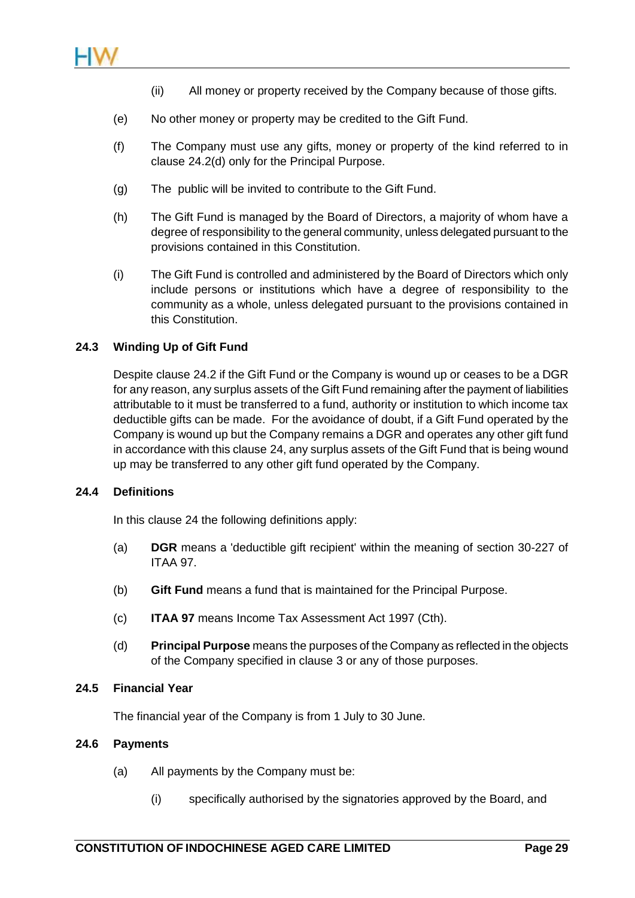- (ii) All money or property received by the Company because of those gifts.
- (e) No other money or property may be credited to the Gift Fund.
- (f) The Company must use any gifts, money or property of the kind referred to in clause [24.2\(d\)](#page-31-1) only for the Principal Purpose.
- (g) The public will be invited to contribute to the Gift Fund.
- (h) The Gift Fund is managed by the Board of Directors, a majority of whom have a degree of responsibility to the general community, unless delegated pursuant to the provisions contained in this Constitution.
- (i) The Gift Fund is controlled and administered by the Board of Directors which only include persons or institutions which have a degree of responsibility to the community as a whole, unless delegated pursuant to the provisions contained in this Constitution.

## **24.3 Winding Up of Gift Fund**

Despite clause [24.2](#page-31-2) if the Gift Fund or the Company is wound up or ceases to be a DGR for any reason, any surplus assets of the Gift Fund remaining after the payment of liabilities attributable to it must be transferred to a fund, authority or institution to which income tax deductible gifts can be made. For the avoidance of doubt, if a Gift Fund operated by the Company is wound up but the Company remains a DGR and operates any other gift fund in accordance with this clause [24,](#page-31-0) any surplus assets of the Gift Fund that is being wound up may be transferred to any other gift fund operated by the Company.

## **24.4 Definitions**

In this clause [24](#page-31-0) the following definitions apply:

- (a) **DGR** means a 'deductible gift recipient' within the meaning of section 30-227 of ITAA 97.
- (b) **Gift Fund** means a fund that is maintained for the Principal Purpose.
- (c) **ITAA 97** means Income Tax Assessment Act 1997 (Cth).
- (d) **Principal Purpose** means the purposes of the Company as reflected in the objects of the Company specified in clause [3](#page-4-0) or any of those purposes.

## **24.5 Financial Year**

The financial year of the Company is from 1 July to 30 June.

## <span id="page-32-0"></span>**24.6 Payments**

- (a) All payments by the Company must be:
	- (i) specifically authorised by the signatories approved by the Board, and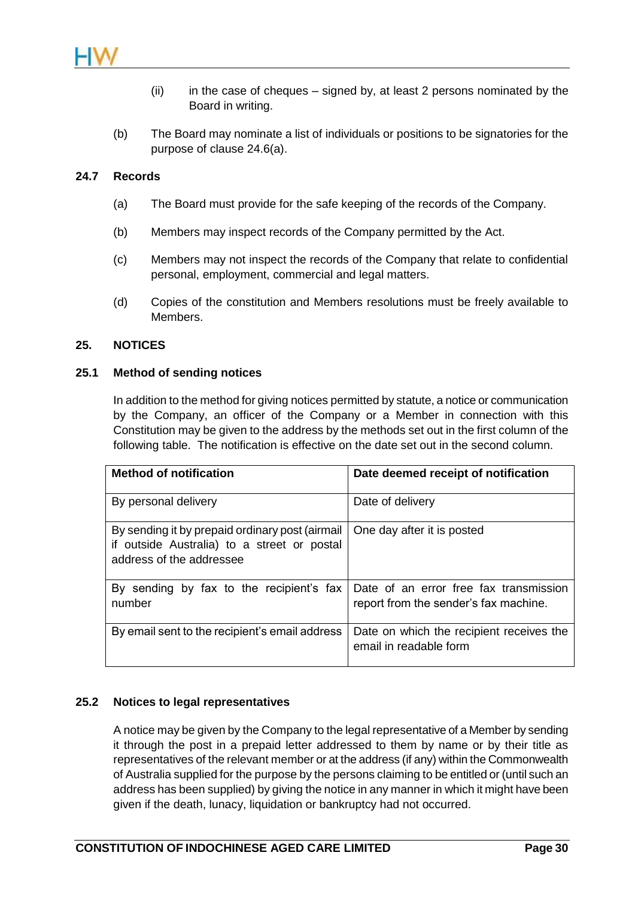

- (ii) in the case of cheques signed by, at least 2 persons nominated by the Board in writing.
- (b) The Board may nominate a list of individuals or positions to be signatories for the purpose of clause [24.6\(a\).](#page-32-0)

#### **24.7 Records**

- (a) The Board must provide for the safe keeping of the records of the Company.
- (b) Members may inspect records of the Company permitted by the Act.
- (c) Members may not inspect the records of the Company that relate to confidential personal, employment, commercial and legal matters.
- (d) Copies of the constitution and Members resolutions must be freely available to Members.

#### **25. NOTICES**

#### **25.1 Method of sending notices**

In addition to the method for giving notices permitted by statute, a notice or communication by the Company, an officer of the Company or a Member in connection with this Constitution may be given to the address by the methods set out in the first column of the following table. The notification is effective on the date set out in the second column.

| <b>Method of notification</b>                                                                                              | Date deemed receipt of notification                                             |
|----------------------------------------------------------------------------------------------------------------------------|---------------------------------------------------------------------------------|
| By personal delivery                                                                                                       | Date of delivery                                                                |
| By sending it by prepaid ordinary post (airmail<br>if outside Australia) to a street or postal<br>address of the addressee | One day after it is posted                                                      |
| By sending by fax to the recipient's fax<br>number                                                                         | Date of an error free fax transmission<br>report from the sender's fax machine. |
| By email sent to the recipient's email address                                                                             | Date on which the recipient receives the<br>email in readable form              |

## <span id="page-33-0"></span>**25.2 Notices to legal representatives**

A notice may be given by the Company to the legal representative of a Member by sending it through the post in a prepaid letter addressed to them by name or by their title as representatives of the relevant member or at the address (if any) within the Commonwealth of Australia supplied for the purpose by the persons claiming to be entitled or (until such an address has been supplied) by giving the notice in any manner in which it might have been given if the death, lunacy, liquidation or bankruptcy had not occurred.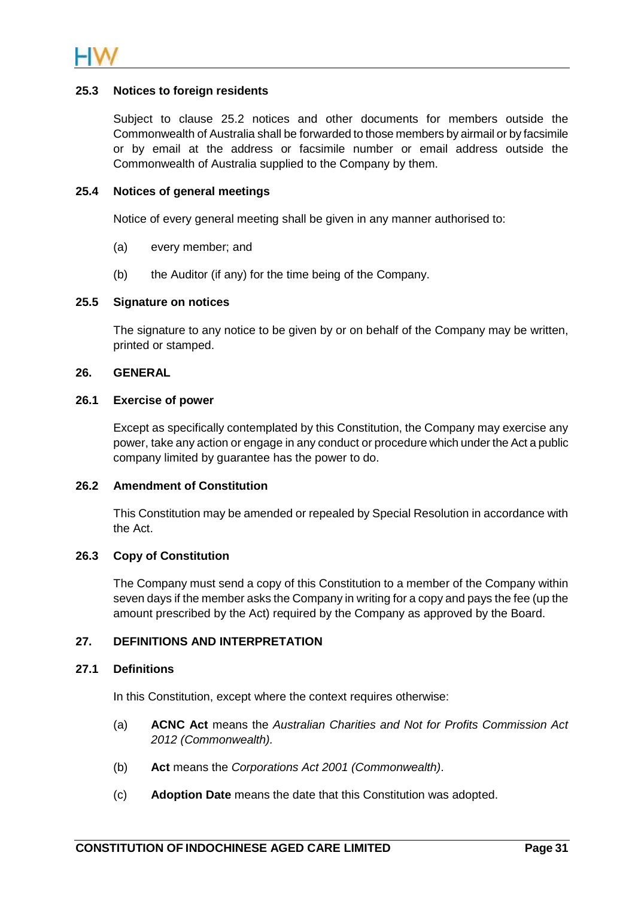

#### **25.3 Notices to foreign residents**

Subject to clause [25.2](#page-33-0) notices and other documents for members outside the Commonwealth of Australia shall be forwarded to those members by airmail or by facsimile or by email at the address or facsimile number or email address outside the Commonwealth of Australia supplied to the Company by them.

#### **25.4 Notices of general meetings**

Notice of every general meeting shall be given in any manner authorised to:

- (a) every member; and
- (b) the Auditor (if any) for the time being of the Company.

#### **25.5 Signature on notices**

The signature to any notice to be given by or on behalf of the Company may be written, printed or stamped.

#### **26. GENERAL**

#### **26.1 Exercise of power**

Except as specifically contemplated by this Constitution, the Company may exercise any power, take any action or engage in any conduct or procedure which under the Act a public company limited by guarantee has the power to do.

#### **26.2 Amendment of Constitution**

This Constitution may be amended or repealed by Special Resolution in accordance with the Act.

#### **26.3 Copy of Constitution**

The Company must send a copy of this Constitution to a member of the Company within seven days if the member asks the Company in writing for a copy and pays the fee (up the amount prescribed by the Act) required by the Company as approved by the Board.

## **27. DEFINITIONS AND INTERPRETATION**

## **27.1 Definitions**

In this Constitution, except where the context requires otherwise:

- (a) **ACNC Act** means the *Australian Charities and Not for Profits Commission Act 2012 (Commonwealth).*
- (b) **Act** means the *Corporations Act 2001 (Commonwealth)*.
- (c) **Adoption Date** means the date that this Constitution was adopted.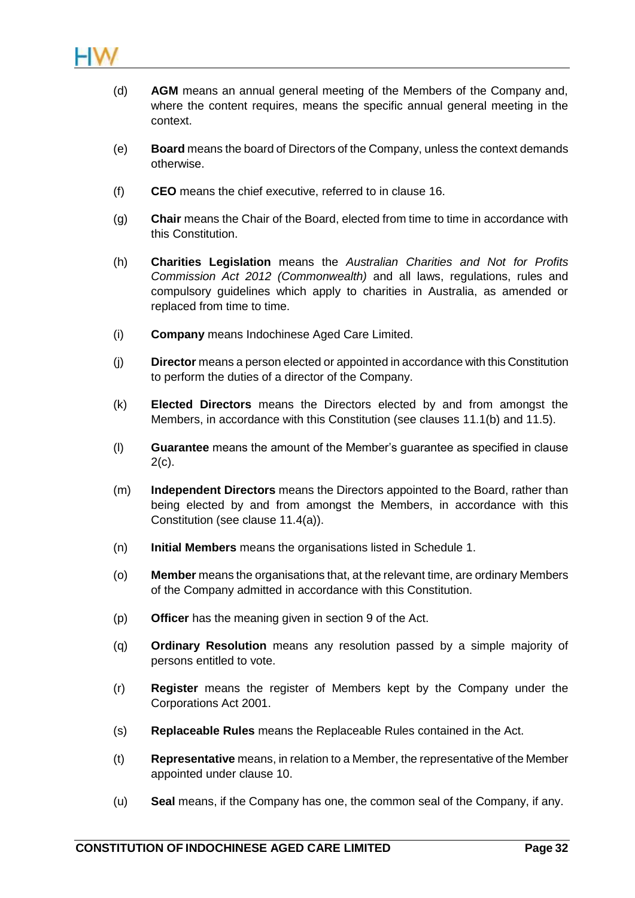

- (d) **AGM** means an annual general meeting of the Members of the Company and, where the content requires, means the specific annual general meeting in the context.
- (e) **Board** means the board of Directors of the Company, unless the context demands otherwise.
- (f) **CEO** means the chief executive, referred to in clause [16.](#page-27-1)
- (g) **Chair** means the Chair of the Board, elected from time to time in accordance with this Constitution.
- (h) **Charities Legislation** means the *Australian Charities and Not for Profits Commission Act 2012 (Commonwealth)* and all laws, regulations, rules and compulsory guidelines which apply to charities in Australia, as amended or replaced from time to time.
- (i) **Company** means Indochinese Aged Care Limited.
- (j) **Director** means a person elected or appointed in accordance with this Constitution to perform the duties of a director of the Company.
- (k) **Elected Directors** means the Directors elected by and from amongst the Members, in accordance with this Constitution (see clauses [11.1\(b\)](#page-18-2) and [11.5\)](#page-20-0).
- (l) **Guarantee** means the amount of the Member's guarantee as specified in clause  $2(c)$ .
- (m) **Independent Directors** means the Directors appointed to the Board, rather than being elected by and from amongst the Members, in accordance with this Constitution (see clause [11.4\(a\)\)](#page-19-5).
- (n) **Initial Members** means the organisations listed in [Schedule 1.](#page-38-0)
- (o) **Member** means the organisations that, at the relevant time, are ordinary Members of the Company admitted in accordance with this Constitution.
- (p) **Officer** has the meaning given in section 9 of the Act.
- (q) **Ordinary Resolution** means any resolution passed by a simple majority of persons entitled to vote.
- (r) **Register** means the register of Members kept by the Company under the Corporations Act 2001.
- (s) **Replaceable Rules** means the Replaceable Rules contained in the Act.
- (t) **Representative** means, in relation to a Member, the representative of the Member appointed under clause [10.](#page-17-0)
- (u) **Seal** means, if the Company has one, the common seal of the Company, if any.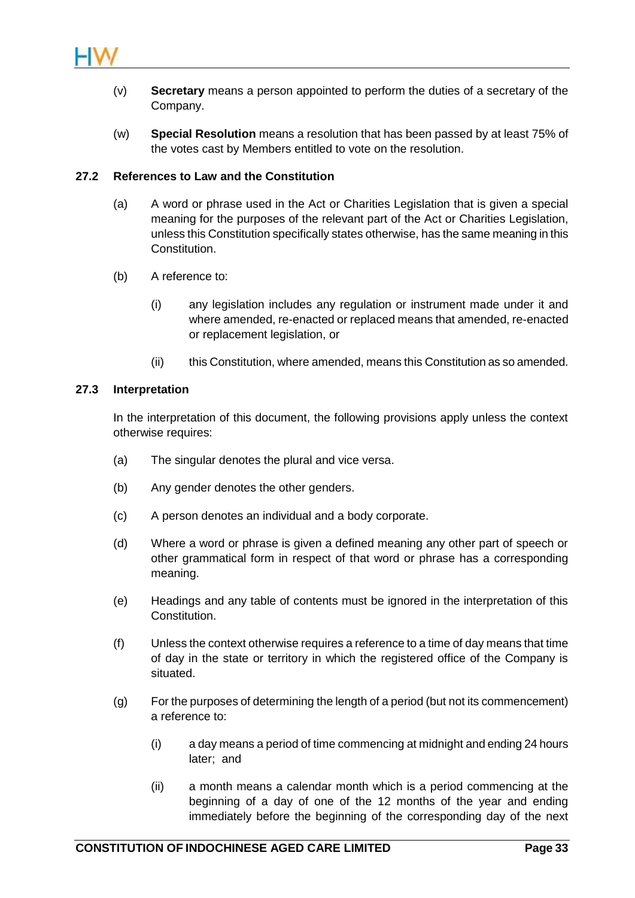

- (v) **Secretary** means a person appointed to perform the duties of a secretary of the Company.
- (w) **Special Resolution** means a resolution that has been passed by at least 75% of the votes cast by Members entitled to vote on the resolution.

#### **27.2 References to Law and the Constitution**

- (a) A word or phrase used in the Act or Charities Legislation that is given a special meaning for the purposes of the relevant part of the Act or Charities Legislation, unless this Constitution specifically states otherwise, has the same meaning in this Constitution.
- (b) A reference to:
	- (i) any legislation includes any regulation or instrument made under it and where amended, re-enacted or replaced means that amended, re-enacted or replacement legislation, or
	- (ii) this Constitution, where amended, means this Constitution as so amended.

#### **27.3 Interpretation**

In the interpretation of this document, the following provisions apply unless the context otherwise requires:

- (a) The singular denotes the plural and vice versa.
- (b) Any gender denotes the other genders.
- (c) A person denotes an individual and a body corporate.
- (d) Where a word or phrase is given a defined meaning any other part of speech or other grammatical form in respect of that word or phrase has a corresponding meaning.
- (e) Headings and any table of contents must be ignored in the interpretation of this Constitution.
- (f) Unless the context otherwise requires a reference to a time of day means that time of day in the state or territory in which the registered office of the Company is situated.
- (g) For the purposes of determining the length of a period (but not its commencement) a reference to:
	- (i) a day means a period of time commencing at midnight and ending 24 hours later; and
	- (ii) a month means a calendar month which is a period commencing at the beginning of a day of one of the 12 months of the year and ending immediately before the beginning of the corresponding day of the next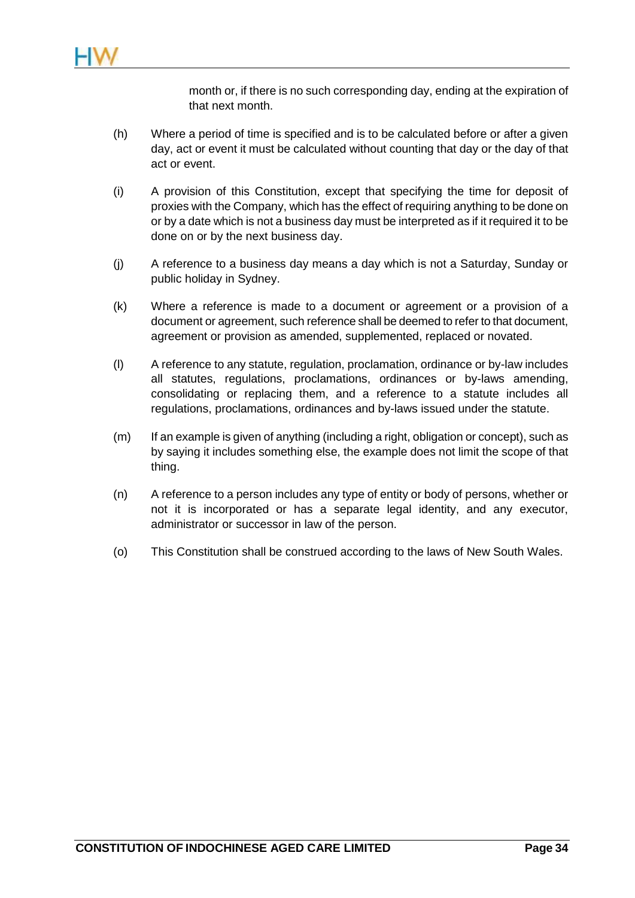month or, if there is no such corresponding day, ending at the expiration of that next month.

- (h) Where a period of time is specified and is to be calculated before or after a given day, act or event it must be calculated without counting that day or the day of that act or event.
- (i) A provision of this Constitution, except that specifying the time for deposit of proxies with the Company, which has the effect of requiring anything to be done on or by a date which is not a business day must be interpreted as if it required it to be done on or by the next business day.
- (j) A reference to a business day means a day which is not a Saturday, Sunday or public holiday in Sydney.
- (k) Where a reference is made to a document or agreement or a provision of a document or agreement, such reference shall be deemed to refer to that document, agreement or provision as amended, supplemented, replaced or novated.
- (l) A reference to any statute, regulation, proclamation, ordinance or by-law includes all statutes, regulations, proclamations, ordinances or by-laws amending, consolidating or replacing them, and a reference to a statute includes all regulations, proclamations, ordinances and by-laws issued under the statute.
- (m) If an example is given of anything (including a right, obligation or concept), such as by saying it includes something else, the example does not limit the scope of that thing.
- (n) A reference to a person includes any type of entity or body of persons, whether or not it is incorporated or has a separate legal identity, and any executor, administrator or successor in law of the person.
- (o) This Constitution shall be construed according to the laws of New South Wales.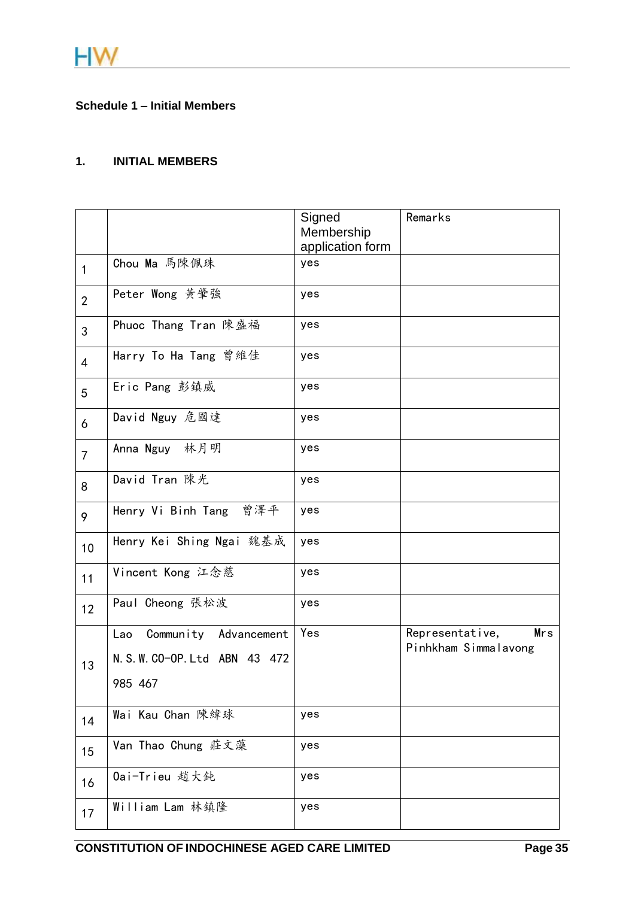## <span id="page-38-0"></span>**Schedule 1 – Initial Members**

# **1. INITIAL MEMBERS**

|                |                                | Signed<br>Membership<br>application form | Remarks                                        |
|----------------|--------------------------------|------------------------------------------|------------------------------------------------|
| 1              | Chou Ma 馬陳佩珠                   | yes                                      |                                                |
| $\overline{2}$ | Peter Wong 黄肇強                 | yes                                      |                                                |
| 3              | Phuoc Thang Tran 陳盛福           | yes                                      |                                                |
| $\overline{4}$ | Harry To Ha Tang 曾維佳           | yes                                      |                                                |
| 5              | Eric Pang 彭鎮威                  | yes                                      |                                                |
| 6              | David Nguy 危國達                 | yes                                      |                                                |
| $\overline{7}$ | Anna Nguy 林月明                  | yes                                      |                                                |
| 8              | David Tran 陳光                  | yes                                      |                                                |
| 9              | Henry Vi Binh Tang 曾澤平         | yes                                      |                                                |
| 10             | Henry Kei Shing Ngai 魏基成       | yes                                      |                                                |
| 11             | Vincent Kong 江念慈               | yes                                      |                                                |
| 12             | Paul Cheong 張松波                | yes                                      |                                                |
|                | Community Advancement<br>Lao   | Yes                                      | Representative,<br>Mrs<br>Pinhkham Simmalavong |
| 13             | N. S. W. CO-OP. Ltd ABN 43 472 |                                          |                                                |
|                | 985 467                        |                                          |                                                |
| 14             | Wai Kau Chan 陳緯球               | yes                                      |                                                |
| 15             | Van Thao Chung 莊文藻             | yes                                      |                                                |
| 16             | 0ai-Trieu 趙大鈍                  | yes                                      |                                                |
| 17             | William Lam 林鎮隆                | yes                                      |                                                |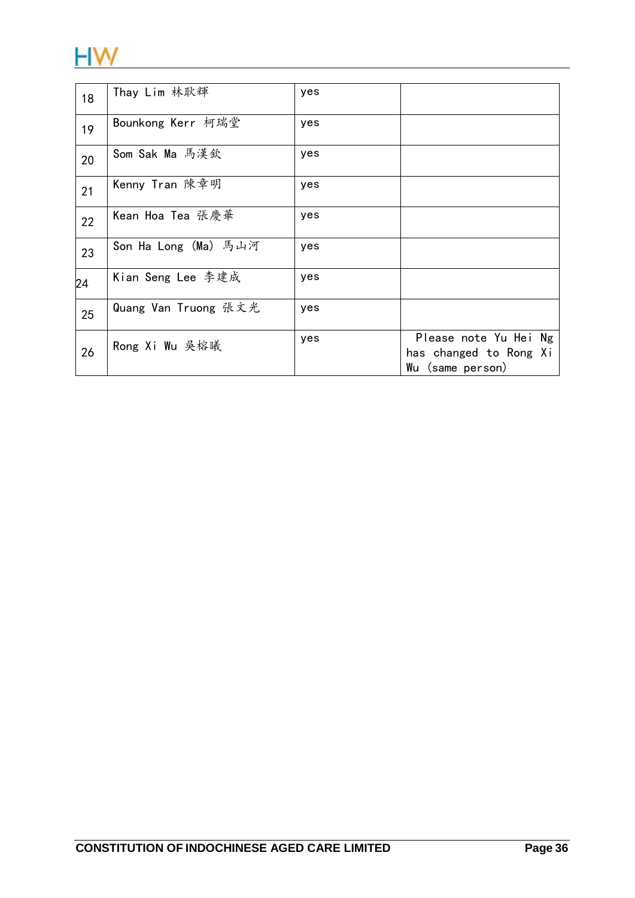

| 18 | Thay Lim 林耿輝         | yes |                                                                     |
|----|----------------------|-----|---------------------------------------------------------------------|
| 19 | Bounkong Kerr 柯瑞堂    | yes |                                                                     |
| 20 | Som Sak Ma 馬漢欽       | yes |                                                                     |
| 21 | Kenny Tran 陳章明       | yes |                                                                     |
| 22 | Kean Hoa Tea 張慶華     | yes |                                                                     |
| 23 | Son Ha Long (Ma) 馬山河 | yes |                                                                     |
| 24 | Kian Seng Lee 李建成    | yes |                                                                     |
| 25 | Quang Van Truong 張文光 | yes |                                                                     |
| 26 | Rong Xi Wu 吳榕曦       | yes | Please note Yu Hei Ng<br>has changed to Rong Xi<br>Wu (same person) |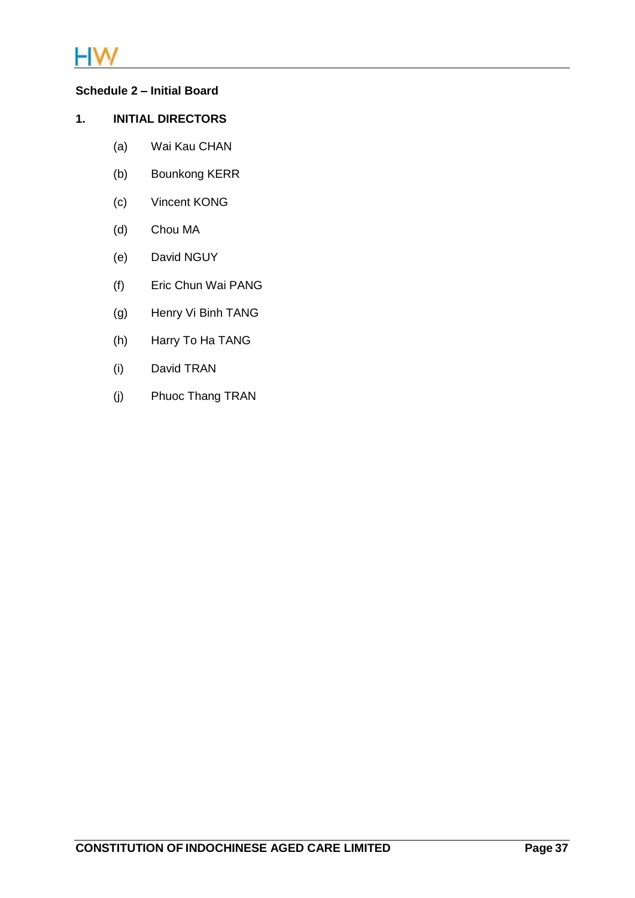

# **Schedule 2 – Initial Board**

# **1. INITIAL DIRECTORS**

- <span id="page-40-0"></span>(a) Wai Kau CHAN
- (b) Bounkong KERR
- (c) Vincent KONG
- (d) Chou MA
- (e) David NGUY
- (f) Eric Chun Wai PANG
- (g) Henry Vi Binh TANG
- (h) Harry To Ha TANG
- (i) David TRAN
- (j) Phuoc Thang TRAN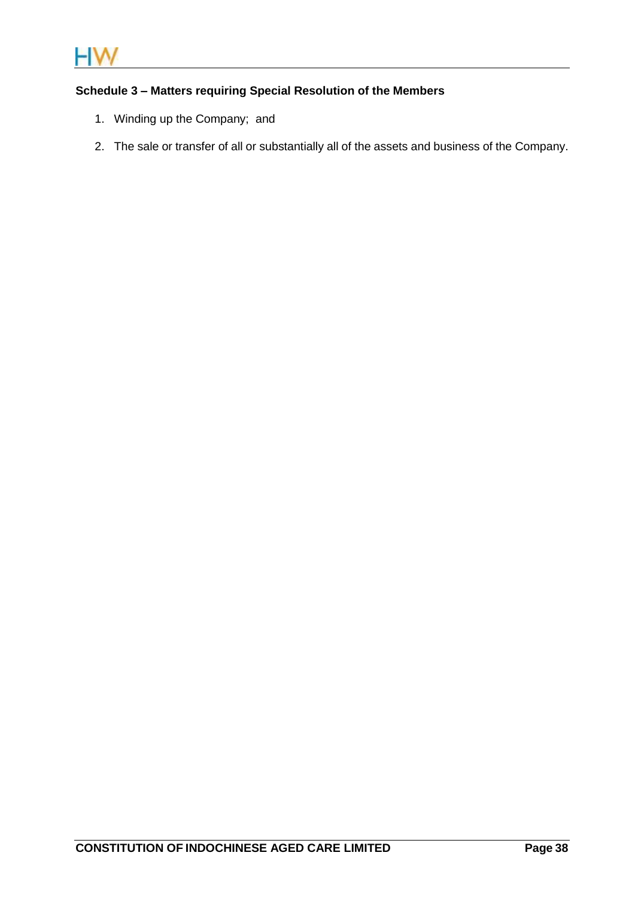

# **Schedule 3 – Matters requiring Special Resolution of the Members**

- <span id="page-41-0"></span>1. Winding up the Company; and
- 2. The sale or transfer of all or substantially all of the assets and business of the Company.